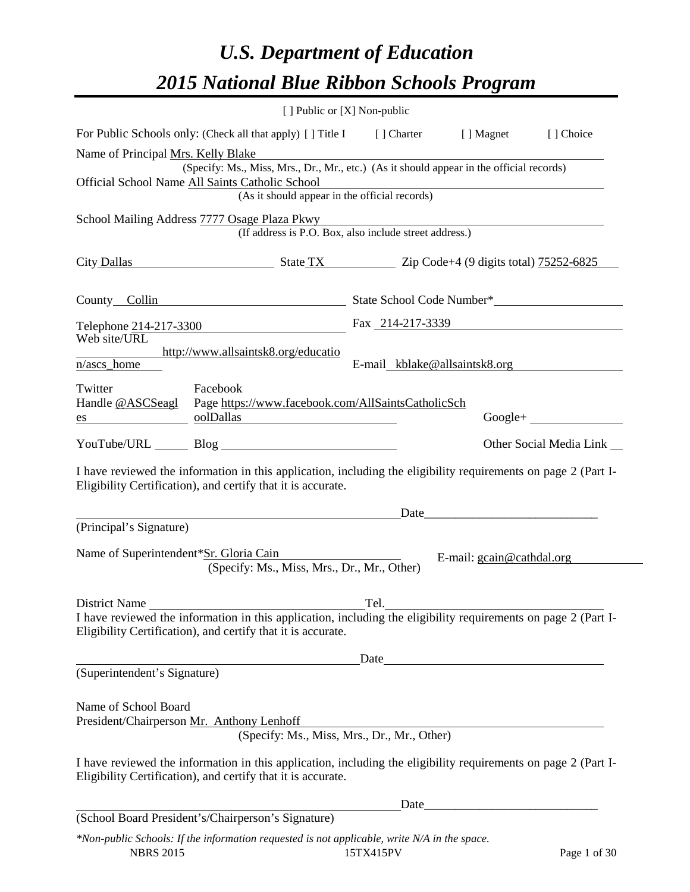# *U.S. Department of Education 2015 National Blue Ribbon Schools Program*

|                                                                                               | [ ] Public or [X] Non-public                                                                                   |
|-----------------------------------------------------------------------------------------------|----------------------------------------------------------------------------------------------------------------|
| For Public Schools only: (Check all that apply) [] Title I [] Charter                         | [] Choice<br>[ ] Magnet                                                                                        |
| Name of Principal Mrs. Kelly Blake                                                            |                                                                                                                |
| Official School Name All Saints Catholic School                                               | (Specify: Ms., Miss, Mrs., Dr., Mr., etc.) (As it should appear in the official records)                       |
| (As it should appear in the official records)                                                 | <u> 1989 - Johann Stein, marwolaethau (b. 1989)</u>                                                            |
| School Mailing Address 7777 Osage Plaza Pkwy                                                  |                                                                                                                |
|                                                                                               | (If address is P.O. Box, also include street address.)                                                         |
| City Dallas State TX Zip Code+4 (9 digits total) 75252-6825                                   |                                                                                                                |
| County Collin                                                                                 | State School Code Number*                                                                                      |
| Telephone 214-217-3300                                                                        | Fax 214-217-3339                                                                                               |
| Web site/URL                                                                                  |                                                                                                                |
| http://www.allsaintsk8.org/educatio<br>n/ascs_home                                            | E-mail kblake@allsaintsk8.org                                                                                  |
| Twitter<br>Facebook                                                                           |                                                                                                                |
| Handle @ASCSeagl    Page https://www.facebook.com/AllSaintsCatholicSch                        |                                                                                                                |
| oolDallas<br>$\frac{\text{es}}{\text{es}}$                                                    | $Google + \_$                                                                                                  |
| YouTube/URL Blog Blog                                                                         | Other Social Media Link                                                                                        |
| Eligibility Certification), and certify that it is accurate.                                  | I have reviewed the information in this application, including the eligibility requirements on page 2 (Part I- |
|                                                                                               | $Date$ $2 = 0$                                                                                                 |
| (Principal's Signature)                                                                       |                                                                                                                |
| Name of Superintendent*Sr. Gloria Cain<br>(Specify: Ms., Miss, Mrs., Dr., Mr., Other)         | E-mail: gcain@cathdal.org                                                                                      |
| District Name                                                                                 | Tel.                                                                                                           |
| Eligibility Certification), and certify that it is accurate.                                  | I have reviewed the information in this application, including the eligibility requirements on page 2 (Part I- |
|                                                                                               |                                                                                                                |
| (Superintendent's Signature)                                                                  | Date                                                                                                           |
|                                                                                               |                                                                                                                |
| Name of School Board                                                                          |                                                                                                                |
| President/Chairperson Mr. Anthony Lenhoff                                                     | (Specify: Ms., Miss, Mrs., Dr., Mr., Other)                                                                    |
|                                                                                               |                                                                                                                |
| Eligibility Certification), and certify that it is accurate.                                  | I have reviewed the information in this application, including the eligibility requirements on page 2 (Part I- |
|                                                                                               |                                                                                                                |
| (School Board President's/Chairperson's Signature)                                            |                                                                                                                |
| *New public Schools: If the information neguested is not applicable, write $N/4$ in the space |                                                                                                                |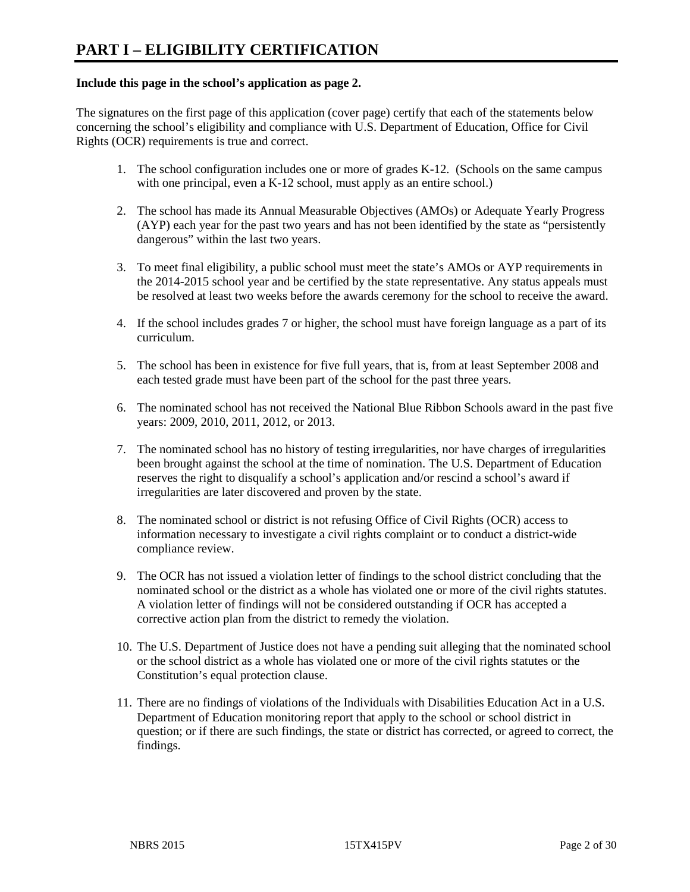#### **Include this page in the school's application as page 2.**

The signatures on the first page of this application (cover page) certify that each of the statements below concerning the school's eligibility and compliance with U.S. Department of Education, Office for Civil Rights (OCR) requirements is true and correct.

- 1. The school configuration includes one or more of grades K-12. (Schools on the same campus with one principal, even a K-12 school, must apply as an entire school.)
- 2. The school has made its Annual Measurable Objectives (AMOs) or Adequate Yearly Progress (AYP) each year for the past two years and has not been identified by the state as "persistently dangerous" within the last two years.
- 3. To meet final eligibility, a public school must meet the state's AMOs or AYP requirements in the 2014-2015 school year and be certified by the state representative. Any status appeals must be resolved at least two weeks before the awards ceremony for the school to receive the award.
- 4. If the school includes grades 7 or higher, the school must have foreign language as a part of its curriculum.
- 5. The school has been in existence for five full years, that is, from at least September 2008 and each tested grade must have been part of the school for the past three years.
- 6. The nominated school has not received the National Blue Ribbon Schools award in the past five years: 2009, 2010, 2011, 2012, or 2013.
- 7. The nominated school has no history of testing irregularities, nor have charges of irregularities been brought against the school at the time of nomination. The U.S. Department of Education reserves the right to disqualify a school's application and/or rescind a school's award if irregularities are later discovered and proven by the state.
- 8. The nominated school or district is not refusing Office of Civil Rights (OCR) access to information necessary to investigate a civil rights complaint or to conduct a district-wide compliance review.
- 9. The OCR has not issued a violation letter of findings to the school district concluding that the nominated school or the district as a whole has violated one or more of the civil rights statutes. A violation letter of findings will not be considered outstanding if OCR has accepted a corrective action plan from the district to remedy the violation.
- 10. The U.S. Department of Justice does not have a pending suit alleging that the nominated school or the school district as a whole has violated one or more of the civil rights statutes or the Constitution's equal protection clause.
- 11. There are no findings of violations of the Individuals with Disabilities Education Act in a U.S. Department of Education monitoring report that apply to the school or school district in question; or if there are such findings, the state or district has corrected, or agreed to correct, the findings.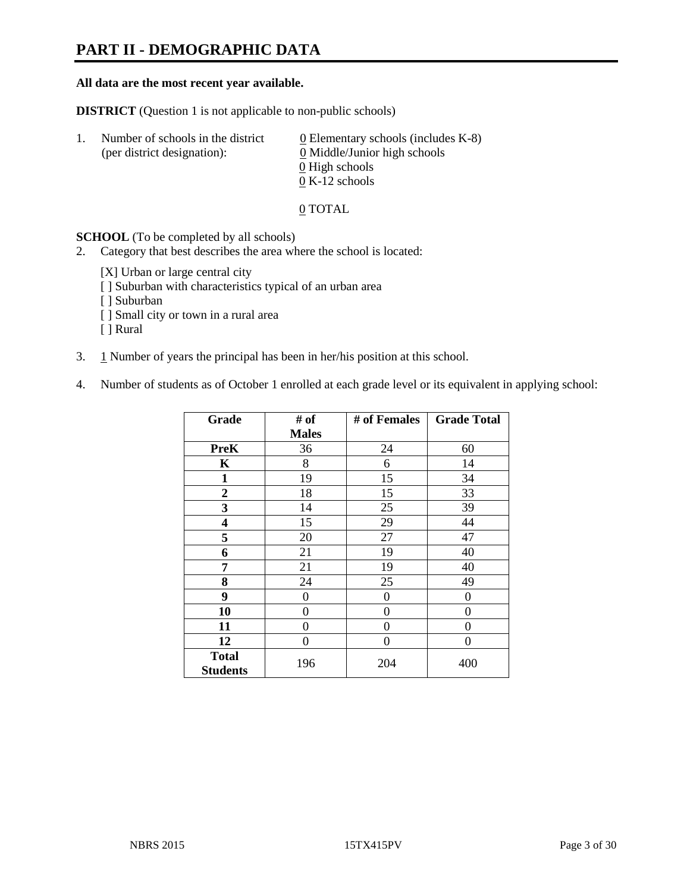# **PART II - DEMOGRAPHIC DATA**

#### **All data are the most recent year available.**

**DISTRICT** (Question 1 is not applicable to non-public schools)

| -1. | Number of schools in the district<br>(per district designation): | $\underline{0}$ Elementary schools (includes K-8)<br>0 Middle/Junior high schools<br>0 High schools |
|-----|------------------------------------------------------------------|-----------------------------------------------------------------------------------------------------|
|     |                                                                  |                                                                                                     |
|     |                                                                  | $0 K-12$ schools                                                                                    |

#### 0 TOTAL

**SCHOOL** (To be completed by all schools)

- 2. Category that best describes the area where the school is located:
	- [X] Urban or large central city
	- [ ] Suburban with characteristics typical of an urban area
	- [ ] Suburban
	- [ ] Small city or town in a rural area
	- [ ] Rural
- 3. 1 Number of years the principal has been in her/his position at this school.
- 4. Number of students as of October 1 enrolled at each grade level or its equivalent in applying school:

| Grade                           | # of         | # of Females | <b>Grade Total</b> |
|---------------------------------|--------------|--------------|--------------------|
|                                 | <b>Males</b> |              |                    |
| PreK                            | 36           | 24           | 60                 |
| K                               | 8            | 6            | 14                 |
| $\mathbf{1}$                    | 19           | 15           | 34                 |
| $\boldsymbol{2}$                | 18           | 15           | 33                 |
| 3                               | 14           | 25           | 39                 |
| 4                               | 15           | 29           | 44                 |
| 5                               | 20           | 27           | 47                 |
| 6                               | 21           | 19           | 40                 |
| 7                               | 21           | 19           | 40                 |
| 8                               | 24           | 25           | 49                 |
| 9                               | 0            | 0            | $\theta$           |
| 10                              | 0            | 0            | 0                  |
| 11                              | 0            | 0            | 0                  |
| 12                              | 0            | 0            | 0                  |
| <b>Total</b><br><b>Students</b> | 196          | 204          | 400                |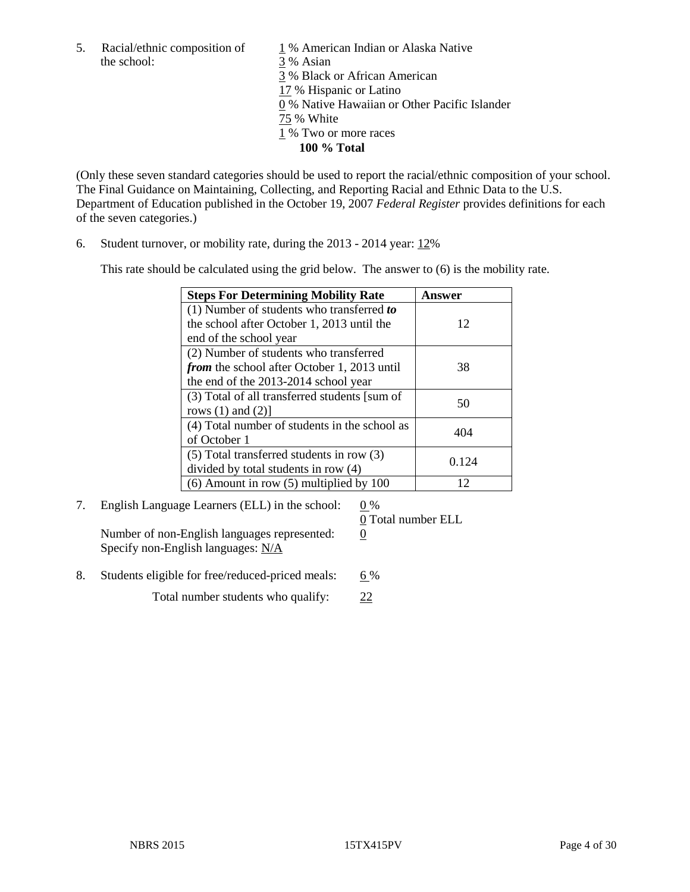the school: 3 % Asian

5. Racial/ethnic composition of  $1\%$  American Indian or Alaska Native 3 % Black or African American 17 % Hispanic or Latino 0 % Native Hawaiian or Other Pacific Islander 75 % White 1 % Two or more races **100 % Total**

(Only these seven standard categories should be used to report the racial/ethnic composition of your school. The Final Guidance on Maintaining, Collecting, and Reporting Racial and Ethnic Data to the U.S. Department of Education published in the October 19, 2007 *Federal Register* provides definitions for each of the seven categories.)

6. Student turnover, or mobility rate, during the 2013 - 2014 year: 12%

This rate should be calculated using the grid below. The answer to (6) is the mobility rate.

| <b>Steps For Determining Mobility Rate</b>         | Answer |  |
|----------------------------------------------------|--------|--|
| (1) Number of students who transferred to          |        |  |
| the school after October 1, 2013 until the         | 12     |  |
| end of the school year                             |        |  |
| (2) Number of students who transferred             |        |  |
| <i>from</i> the school after October 1, 2013 until | 38     |  |
| the end of the 2013-2014 school year               |        |  |
| (3) Total of all transferred students [sum of      | 50     |  |
| rows $(1)$ and $(2)$ ]                             |        |  |
| (4) Total number of students in the school as      | 404    |  |
| of October 1                                       |        |  |
| $(5)$ Total transferred students in row $(3)$      | 0.124  |  |
| divided by total students in row (4)               |        |  |
| $(6)$ Amount in row $(5)$ multiplied by 100        | 12     |  |

7. English Language Learners (ELL) in the school:  $0\%$ 

Number of non-English languages represented: 0 Specify non-English languages: N/A

0 Total number ELL

8. Students eligible for free/reduced-priced meals: 6%

Total number students who qualify: 22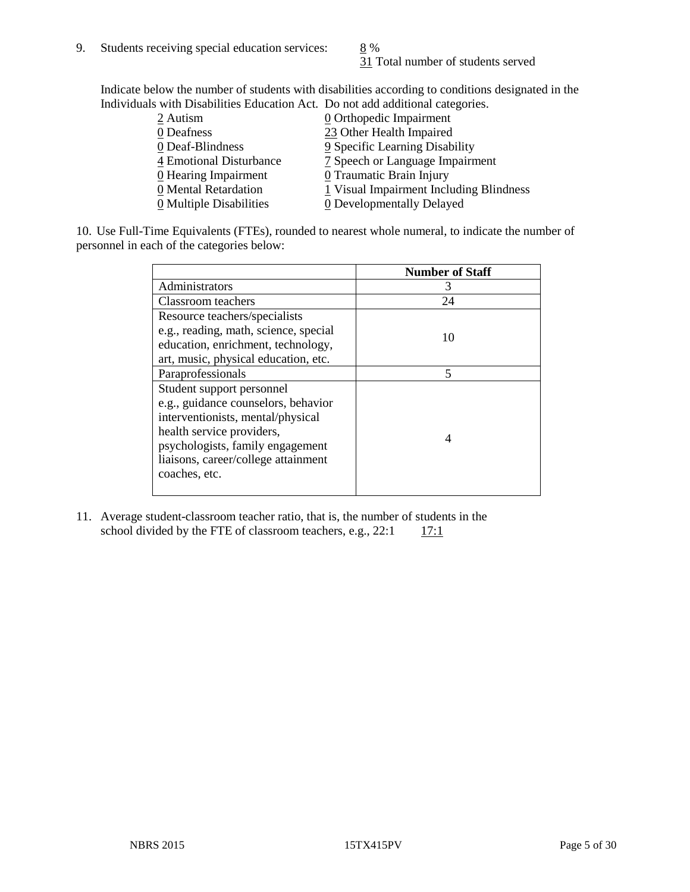31 Total number of students served

Indicate below the number of students with disabilities according to conditions designated in the Individuals with Disabilities Education Act. Do not add additional categories.

| 2 Autism                | $\underline{0}$ Orthopedic Impairment   |
|-------------------------|-----------------------------------------|
| 0 Deafness              | 23 Other Health Impaired                |
| 0 Deaf-Blindness        | 9 Specific Learning Disability          |
| 4 Emotional Disturbance | 7 Speech or Language Impairment         |
| $Q$ Hearing Impairment  | 0 Traumatic Brain Injury                |
| 0 Mental Retardation    | 1 Visual Impairment Including Blindness |
| 0 Multiple Disabilities | 0 Developmentally Delayed               |
|                         |                                         |

10. Use Full-Time Equivalents (FTEs), rounded to nearest whole numeral, to indicate the number of personnel in each of the categories below:

|                                       | <b>Number of Staff</b> |
|---------------------------------------|------------------------|
| Administrators                        |                        |
| Classroom teachers                    | 24                     |
| Resource teachers/specialists         |                        |
| e.g., reading, math, science, special | 10                     |
| education, enrichment, technology,    |                        |
| art, music, physical education, etc.  |                        |
| Paraprofessionals                     | 5                      |
| Student support personnel             |                        |
| e.g., guidance counselors, behavior   |                        |
| interventionists, mental/physical     |                        |
| health service providers,             |                        |
| psychologists, family engagement      |                        |
| liaisons, career/college attainment   |                        |
| coaches, etc.                         |                        |
|                                       |                        |

11. Average student-classroom teacher ratio, that is, the number of students in the school divided by the FTE of classroom teachers, e.g.,  $22:1$  17:1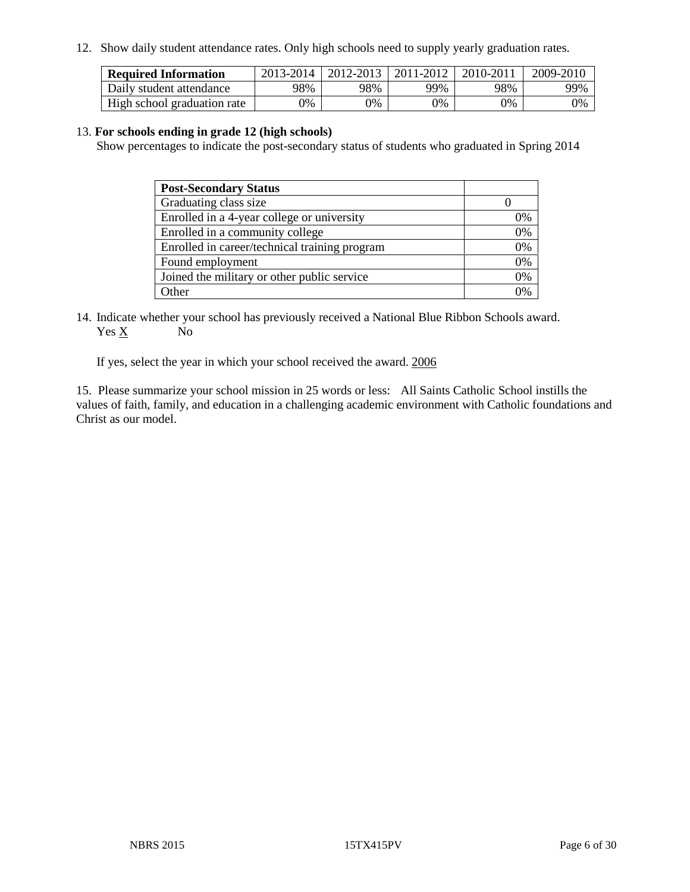12. Show daily student attendance rates. Only high schools need to supply yearly graduation rates.

| <b>Required Information</b> | 2013-2014 | 2012-2013 | 2011-2012 | 2010-2011 | 2009-2010 |
|-----------------------------|-----------|-----------|-----------|-----------|-----------|
| Daily student attendance    | 98%       | 98%       | 99%       | 98%       | 99%       |
| High school graduation rate | $9\%$     | 0%        | $0\%$     | 9%        | 0%        |

#### 13. **For schools ending in grade 12 (high schools)**

Show percentages to indicate the post-secondary status of students who graduated in Spring 2014

| <b>Post-Secondary Status</b>                  |    |
|-----------------------------------------------|----|
| Graduating class size                         |    |
| Enrolled in a 4-year college or university    | 0% |
| Enrolled in a community college               | 0% |
| Enrolled in career/technical training program | 0% |
| Found employment                              | 0% |
| Joined the military or other public service   | 0% |
| Other                                         |    |

14. Indicate whether your school has previously received a National Blue Ribbon Schools award. Yes X No

If yes, select the year in which your school received the award. 2006

15. Please summarize your school mission in 25 words or less: All Saints Catholic School instills the values of faith, family, and education in a challenging academic environment with Catholic foundations and Christ as our model.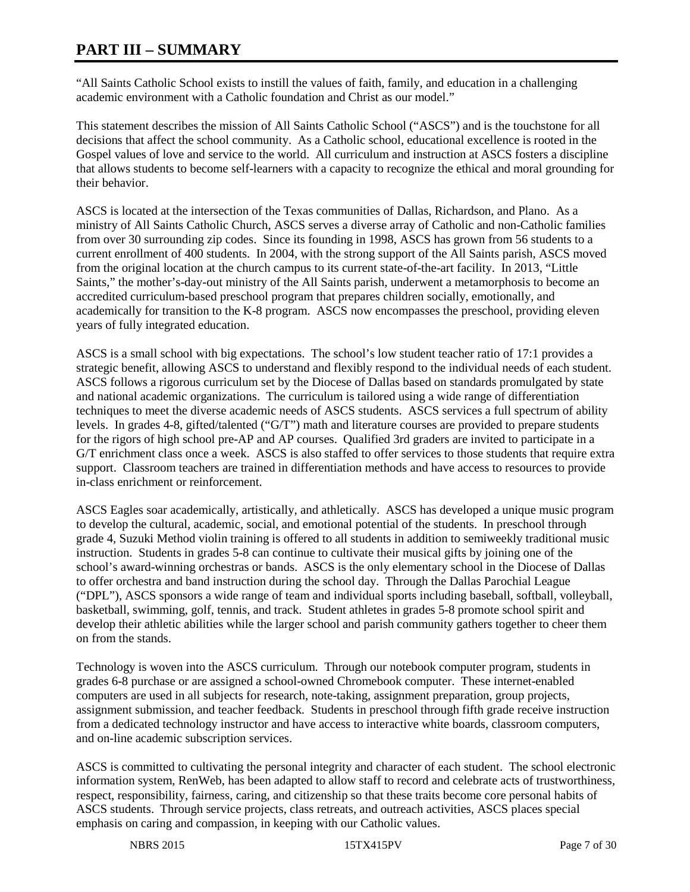# **PART III – SUMMARY**

"All Saints Catholic School exists to instill the values of faith, family, and education in a challenging academic environment with a Catholic foundation and Christ as our model."

This statement describes the mission of All Saints Catholic School ("ASCS") and is the touchstone for all decisions that affect the school community. As a Catholic school, educational excellence is rooted in the Gospel values of love and service to the world. All curriculum and instruction at ASCS fosters a discipline that allows students to become self-learners with a capacity to recognize the ethical and moral grounding for their behavior.

ASCS is located at the intersection of the Texas communities of Dallas, Richardson, and Plano. As a ministry of All Saints Catholic Church, ASCS serves a diverse array of Catholic and non-Catholic families from over 30 surrounding zip codes. Since its founding in 1998, ASCS has grown from 56 students to a current enrollment of 400 students. In 2004, with the strong support of the All Saints parish, ASCS moved from the original location at the church campus to its current state-of-the-art facility. In 2013, "Little Saints," the mother's-day-out ministry of the All Saints parish, underwent a metamorphosis to become an accredited curriculum-based preschool program that prepares children socially, emotionally, and academically for transition to the K-8 program. ASCS now encompasses the preschool, providing eleven years of fully integrated education.

ASCS is a small school with big expectations. The school's low student teacher ratio of 17:1 provides a strategic benefit, allowing ASCS to understand and flexibly respond to the individual needs of each student. ASCS follows a rigorous curriculum set by the Diocese of Dallas based on standards promulgated by state and national academic organizations. The curriculum is tailored using a wide range of differentiation techniques to meet the diverse academic needs of ASCS students. ASCS services a full spectrum of ability levels. In grades 4-8, gifted/talented ("G/T") math and literature courses are provided to prepare students for the rigors of high school pre-AP and AP courses. Qualified 3rd graders are invited to participate in a G/T enrichment class once a week. ASCS is also staffed to offer services to those students that require extra support. Classroom teachers are trained in differentiation methods and have access to resources to provide in-class enrichment or reinforcement.

ASCS Eagles soar academically, artistically, and athletically. ASCS has developed a unique music program to develop the cultural, academic, social, and emotional potential of the students. In preschool through grade 4, Suzuki Method violin training is offered to all students in addition to semiweekly traditional music instruction. Students in grades 5-8 can continue to cultivate their musical gifts by joining one of the school's award-winning orchestras or bands. ASCS is the only elementary school in the Diocese of Dallas to offer orchestra and band instruction during the school day. Through the Dallas Parochial League ("DPL"), ASCS sponsors a wide range of team and individual sports including baseball, softball, volleyball, basketball, swimming, golf, tennis, and track. Student athletes in grades 5-8 promote school spirit and develop their athletic abilities while the larger school and parish community gathers together to cheer them on from the stands.

Technology is woven into the ASCS curriculum. Through our notebook computer program, students in grades 6-8 purchase or are assigned a school-owned Chromebook computer. These internet-enabled computers are used in all subjects for research, note-taking, assignment preparation, group projects, assignment submission, and teacher feedback. Students in preschool through fifth grade receive instruction from a dedicated technology instructor and have access to interactive white boards, classroom computers, and on-line academic subscription services.

ASCS is committed to cultivating the personal integrity and character of each student. The school electronic information system, RenWeb, has been adapted to allow staff to record and celebrate acts of trustworthiness, respect, responsibility, fairness, caring, and citizenship so that these traits become core personal habits of ASCS students. Through service projects, class retreats, and outreach activities, ASCS places special emphasis on caring and compassion, in keeping with our Catholic values.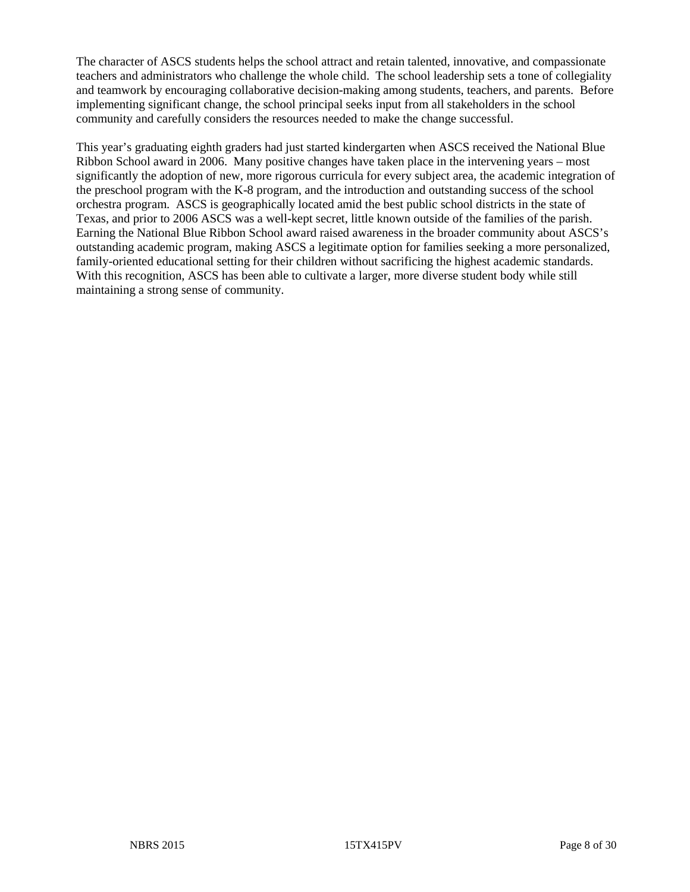The character of ASCS students helps the school attract and retain talented, innovative, and compassionate teachers and administrators who challenge the whole child. The school leadership sets a tone of collegiality and teamwork by encouraging collaborative decision-making among students, teachers, and parents. Before implementing significant change, the school principal seeks input from all stakeholders in the school community and carefully considers the resources needed to make the change successful.

This year's graduating eighth graders had just started kindergarten when ASCS received the National Blue Ribbon School award in 2006. Many positive changes have taken place in the intervening years – most significantly the adoption of new, more rigorous curricula for every subject area, the academic integration of the preschool program with the K-8 program, and the introduction and outstanding success of the school orchestra program. ASCS is geographically located amid the best public school districts in the state of Texas, and prior to 2006 ASCS was a well-kept secret, little known outside of the families of the parish. Earning the National Blue Ribbon School award raised awareness in the broader community about ASCS's outstanding academic program, making ASCS a legitimate option for families seeking a more personalized, family-oriented educational setting for their children without sacrificing the highest academic standards. With this recognition, ASCS has been able to cultivate a larger, more diverse student body while still maintaining a strong sense of community.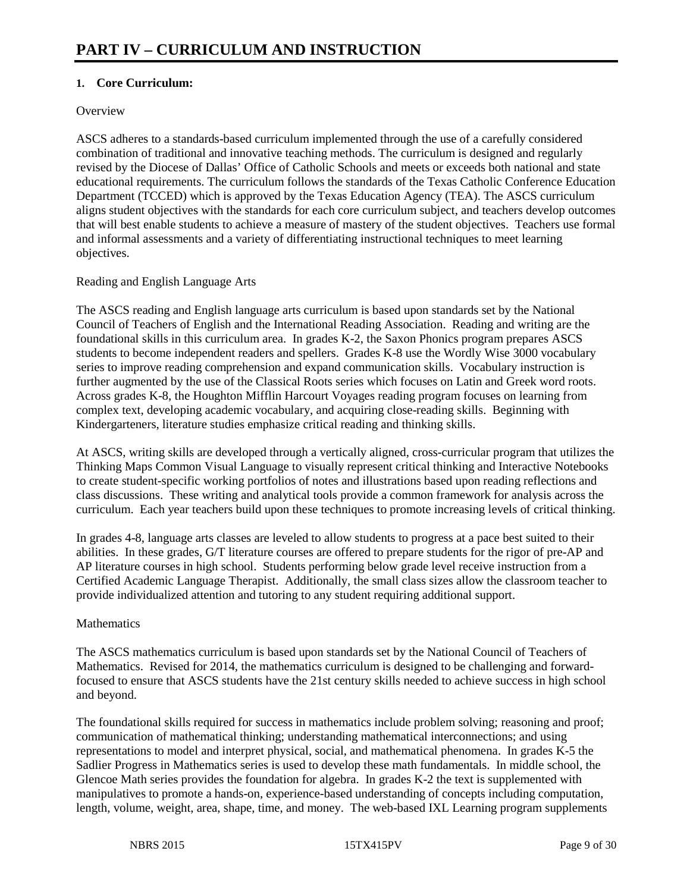# **1. Core Curriculum:**

#### **Overview**

ASCS adheres to a standards-based curriculum implemented through the use of a carefully considered combination of traditional and innovative teaching methods. The curriculum is designed and regularly revised by the Diocese of Dallas' Office of Catholic Schools and meets or exceeds both national and state educational requirements. The curriculum follows the standards of the Texas Catholic Conference Education Department (TCCED) which is approved by the Texas Education Agency (TEA). The ASCS curriculum aligns student objectives with the standards for each core curriculum subject, and teachers develop outcomes that will best enable students to achieve a measure of mastery of the student objectives. Teachers use formal and informal assessments and a variety of differentiating instructional techniques to meet learning objectives.

#### Reading and English Language Arts

The ASCS reading and English language arts curriculum is based upon standards set by the National Council of Teachers of English and the International Reading Association. Reading and writing are the foundational skills in this curriculum area. In grades K-2, the Saxon Phonics program prepares ASCS students to become independent readers and spellers. Grades K-8 use the Wordly Wise 3000 vocabulary series to improve reading comprehension and expand communication skills. Vocabulary instruction is further augmented by the use of the Classical Roots series which focuses on Latin and Greek word roots. Across grades K-8, the Houghton Mifflin Harcourt Voyages reading program focuses on learning from complex text, developing academic vocabulary, and acquiring close-reading skills. Beginning with Kindergarteners, literature studies emphasize critical reading and thinking skills.

At ASCS, writing skills are developed through a vertically aligned, cross-curricular program that utilizes the Thinking Maps Common Visual Language to visually represent critical thinking and Interactive Notebooks to create student-specific working portfolios of notes and illustrations based upon reading reflections and class discussions. These writing and analytical tools provide a common framework for analysis across the curriculum. Each year teachers build upon these techniques to promote increasing levels of critical thinking.

In grades 4-8, language arts classes are leveled to allow students to progress at a pace best suited to their abilities. In these grades, G/T literature courses are offered to prepare students for the rigor of pre-AP and AP literature courses in high school. Students performing below grade level receive instruction from a Certified Academic Language Therapist. Additionally, the small class sizes allow the classroom teacher to provide individualized attention and tutoring to any student requiring additional support.

#### **Mathematics**

The ASCS mathematics curriculum is based upon standards set by the National Council of Teachers of Mathematics. Revised for 2014, the mathematics curriculum is designed to be challenging and forwardfocused to ensure that ASCS students have the 21st century skills needed to achieve success in high school and beyond.

The foundational skills required for success in mathematics include problem solving; reasoning and proof; communication of mathematical thinking; understanding mathematical interconnections; and using representations to model and interpret physical, social, and mathematical phenomena. In grades K-5 the Sadlier Progress in Mathematics series is used to develop these math fundamentals. In middle school, the Glencoe Math series provides the foundation for algebra. In grades K-2 the text is supplemented with manipulatives to promote a hands-on, experience-based understanding of concepts including computation, length, volume, weight, area, shape, time, and money. The web-based IXL Learning program supplements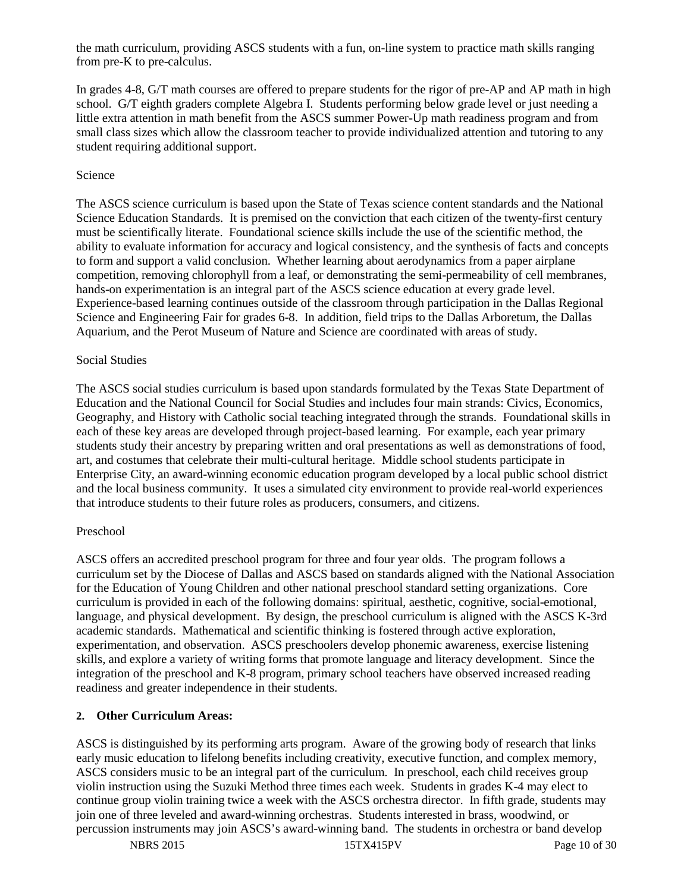the math curriculum, providing ASCS students with a fun, on-line system to practice math skills ranging from pre-K to pre-calculus.

In grades 4-8, G/T math courses are offered to prepare students for the rigor of pre-AP and AP math in high school. G/T eighth graders complete Algebra I. Students performing below grade level or just needing a little extra attention in math benefit from the ASCS summer Power-Up math readiness program and from small class sizes which allow the classroom teacher to provide individualized attention and tutoring to any student requiring additional support.

#### Science

The ASCS science curriculum is based upon the State of Texas science content standards and the National Science Education Standards. It is premised on the conviction that each citizen of the twenty-first century must be scientifically literate. Foundational science skills include the use of the scientific method, the ability to evaluate information for accuracy and logical consistency, and the synthesis of facts and concepts to form and support a valid conclusion. Whether learning about aerodynamics from a paper airplane competition, removing chlorophyll from a leaf, or demonstrating the semi-permeability of cell membranes, hands-on experimentation is an integral part of the ASCS science education at every grade level. Experience-based learning continues outside of the classroom through participation in the Dallas Regional Science and Engineering Fair for grades 6-8. In addition, field trips to the Dallas Arboretum, the Dallas Aquarium, and the Perot Museum of Nature and Science are coordinated with areas of study.

#### Social Studies

The ASCS social studies curriculum is based upon standards formulated by the Texas State Department of Education and the National Council for Social Studies and includes four main strands: Civics, Economics, Geography, and History with Catholic social teaching integrated through the strands. Foundational skills in each of these key areas are developed through project-based learning. For example, each year primary students study their ancestry by preparing written and oral presentations as well as demonstrations of food, art, and costumes that celebrate their multi-cultural heritage. Middle school students participate in Enterprise City, an award-winning economic education program developed by a local public school district and the local business community. It uses a simulated city environment to provide real-world experiences that introduce students to their future roles as producers, consumers, and citizens.

#### Preschool

ASCS offers an accredited preschool program for three and four year olds. The program follows a curriculum set by the Diocese of Dallas and ASCS based on standards aligned with the National Association for the Education of Young Children and other national preschool standard setting organizations. Core curriculum is provided in each of the following domains: spiritual, aesthetic, cognitive, social-emotional, language, and physical development. By design, the preschool curriculum is aligned with the ASCS K-3rd academic standards. Mathematical and scientific thinking is fostered through active exploration, experimentation, and observation. ASCS preschoolers develop phonemic awareness, exercise listening skills, and explore a variety of writing forms that promote language and literacy development. Since the integration of the preschool and K-8 program, primary school teachers have observed increased reading readiness and greater independence in their students.

# **2. Other Curriculum Areas:**

ASCS is distinguished by its performing arts program. Aware of the growing body of research that links early music education to lifelong benefits including creativity, executive function, and complex memory, ASCS considers music to be an integral part of the curriculum. In preschool, each child receives group violin instruction using the Suzuki Method three times each week. Students in grades K-4 may elect to continue group violin training twice a week with the ASCS orchestra director. In fifth grade, students may join one of three leveled and award-winning orchestras. Students interested in brass, woodwind, or percussion instruments may join ASCS's award-winning band. The students in orchestra or band develop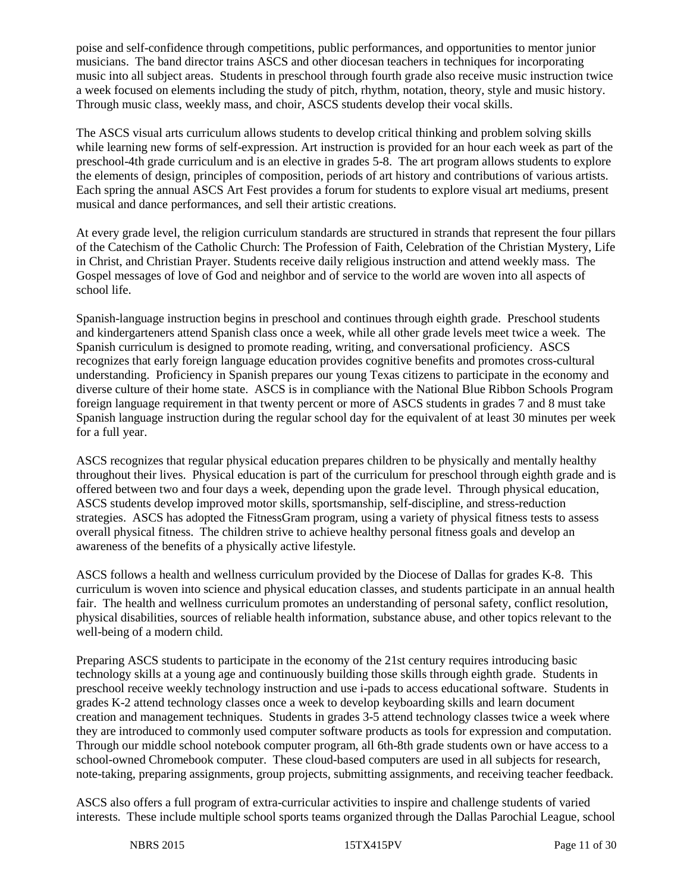poise and self-confidence through competitions, public performances, and opportunities to mentor junior musicians. The band director trains ASCS and other diocesan teachers in techniques for incorporating music into all subject areas. Students in preschool through fourth grade also receive music instruction twice a week focused on elements including the study of pitch, rhythm, notation, theory, style and music history. Through music class, weekly mass, and choir, ASCS students develop their vocal skills.

The ASCS visual arts curriculum allows students to develop critical thinking and problem solving skills while learning new forms of self-expression. Art instruction is provided for an hour each week as part of the preschool-4th grade curriculum and is an elective in grades 5-8. The art program allows students to explore the elements of design, principles of composition, periods of art history and contributions of various artists. Each spring the annual ASCS Art Fest provides a forum for students to explore visual art mediums, present musical and dance performances, and sell their artistic creations.

At every grade level, the religion curriculum standards are structured in strands that represent the four pillars of the Catechism of the Catholic Church: The Profession of Faith, Celebration of the Christian Mystery, Life in Christ, and Christian Prayer. Students receive daily religious instruction and attend weekly mass. The Gospel messages of love of God and neighbor and of service to the world are woven into all aspects of school life.

Spanish-language instruction begins in preschool and continues through eighth grade. Preschool students and kindergarteners attend Spanish class once a week, while all other grade levels meet twice a week. The Spanish curriculum is designed to promote reading, writing, and conversational proficiency. ASCS recognizes that early foreign language education provides cognitive benefits and promotes cross-cultural understanding. Proficiency in Spanish prepares our young Texas citizens to participate in the economy and diverse culture of their home state. ASCS is in compliance with the National Blue Ribbon Schools Program foreign language requirement in that twenty percent or more of ASCS students in grades 7 and 8 must take Spanish language instruction during the regular school day for the equivalent of at least 30 minutes per week for a full year.

ASCS recognizes that regular physical education prepares children to be physically and mentally healthy throughout their lives. Physical education is part of the curriculum for preschool through eighth grade and is offered between two and four days a week, depending upon the grade level. Through physical education, ASCS students develop improved motor skills, sportsmanship, self-discipline, and stress-reduction strategies. ASCS has adopted the FitnessGram program, using a variety of physical fitness tests to assess overall physical fitness. The children strive to achieve healthy personal fitness goals and develop an awareness of the benefits of a physically active lifestyle.

ASCS follows a health and wellness curriculum provided by the Diocese of Dallas for grades K-8. This curriculum is woven into science and physical education classes, and students participate in an annual health fair. The health and wellness curriculum promotes an understanding of personal safety, conflict resolution, physical disabilities, sources of reliable health information, substance abuse, and other topics relevant to the well-being of a modern child.

Preparing ASCS students to participate in the economy of the 21st century requires introducing basic technology skills at a young age and continuously building those skills through eighth grade. Students in preschool receive weekly technology instruction and use i-pads to access educational software. Students in grades K-2 attend technology classes once a week to develop keyboarding skills and learn document creation and management techniques. Students in grades 3-5 attend technology classes twice a week where they are introduced to commonly used computer software products as tools for expression and computation. Through our middle school notebook computer program, all 6th-8th grade students own or have access to a school-owned Chromebook computer. These cloud-based computers are used in all subjects for research, note-taking, preparing assignments, group projects, submitting assignments, and receiving teacher feedback.

ASCS also offers a full program of extra-curricular activities to inspire and challenge students of varied interests. These include multiple school sports teams organized through the Dallas Parochial League, school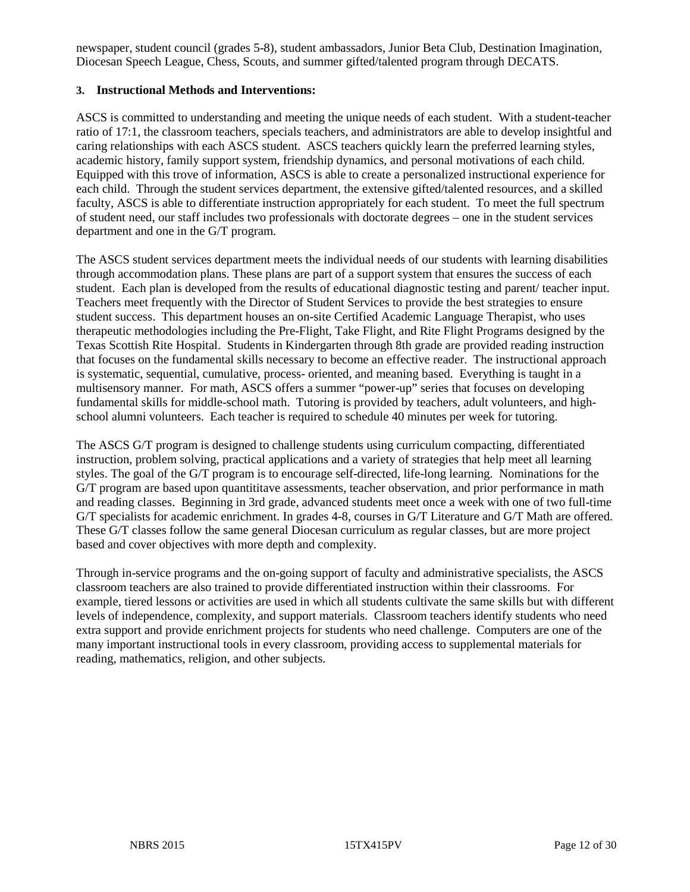newspaper, student council (grades 5-8), student ambassadors, Junior Beta Club, Destination Imagination, Diocesan Speech League, Chess, Scouts, and summer gifted/talented program through DECATS.

# **3. Instructional Methods and Interventions:**

ASCS is committed to understanding and meeting the unique needs of each student. With a student-teacher ratio of 17:1, the classroom teachers, specials teachers, and administrators are able to develop insightful and caring relationships with each ASCS student. ASCS teachers quickly learn the preferred learning styles, academic history, family support system, friendship dynamics, and personal motivations of each child. Equipped with this trove of information, ASCS is able to create a personalized instructional experience for each child. Through the student services department, the extensive gifted/talented resources, and a skilled faculty, ASCS is able to differentiate instruction appropriately for each student. To meet the full spectrum of student need, our staff includes two professionals with doctorate degrees – one in the student services department and one in the G/T program.

The ASCS student services department meets the individual needs of our students with learning disabilities through accommodation plans. These plans are part of a support system that ensures the success of each student. Each plan is developed from the results of educational diagnostic testing and parent/ teacher input. Teachers meet frequently with the Director of Student Services to provide the best strategies to ensure student success. This department houses an on-site Certified Academic Language Therapist, who uses therapeutic methodologies including the Pre-Flight, Take Flight, and Rite Flight Programs designed by the Texas Scottish Rite Hospital. Students in Kindergarten through 8th grade are provided reading instruction that focuses on the fundamental skills necessary to become an effective reader. The instructional approach is systematic, sequential, cumulative, process- oriented, and meaning based. Everything is taught in a multisensory manner. For math, ASCS offers a summer "power-up" series that focuses on developing fundamental skills for middle-school math. Tutoring is provided by teachers, adult volunteers, and highschool alumni volunteers. Each teacher is required to schedule 40 minutes per week for tutoring.

The ASCS G/T program is designed to challenge students using curriculum compacting, differentiated instruction, problem solving, practical applications and a variety of strategies that help meet all learning styles. The goal of the G/T program is to encourage self-directed, life-long learning. Nominations for the G/T program are based upon quantititave assessments, teacher observation, and prior performance in math and reading classes. Beginning in 3rd grade, advanced students meet once a week with one of two full-time G/T specialists for academic enrichment. In grades 4-8, courses in G/T Literature and G/T Math are offered. These G/T classes follow the same general Diocesan curriculum as regular classes, but are more project based and cover objectives with more depth and complexity.

Through in-service programs and the on-going support of faculty and administrative specialists, the ASCS classroom teachers are also trained to provide differentiated instruction within their classrooms. For example, tiered lessons or activities are used in which all students cultivate the same skills but with different levels of independence, complexity, and support materials. Classroom teachers identify students who need extra support and provide enrichment projects for students who need challenge. Computers are one of the many important instructional tools in every classroom, providing access to supplemental materials for reading, mathematics, religion, and other subjects.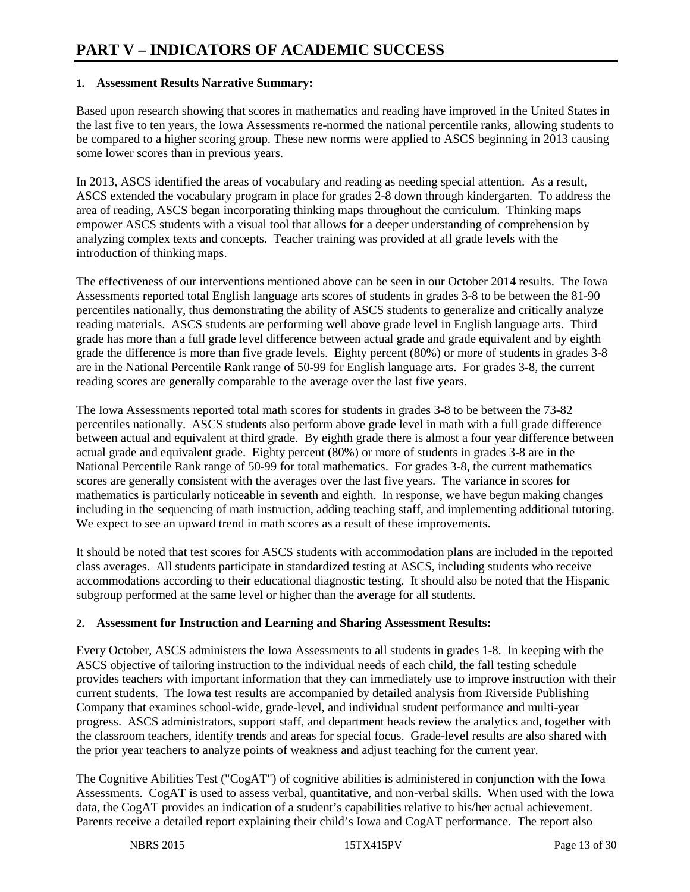#### **1. Assessment Results Narrative Summary:**

Based upon research showing that scores in mathematics and reading have improved in the United States in the last five to ten years, the Iowa Assessments re-normed the national percentile ranks, allowing students to be compared to a higher scoring group. These new norms were applied to ASCS beginning in 2013 causing some lower scores than in previous years.

In 2013, ASCS identified the areas of vocabulary and reading as needing special attention. As a result, ASCS extended the vocabulary program in place for grades 2-8 down through kindergarten. To address the area of reading, ASCS began incorporating thinking maps throughout the curriculum. Thinking maps empower ASCS students with a visual tool that allows for a deeper understanding of comprehension by analyzing complex texts and concepts. Teacher training was provided at all grade levels with the introduction of thinking maps.

The effectiveness of our interventions mentioned above can be seen in our October 2014 results. The Iowa Assessments reported total English language arts scores of students in grades 3-8 to be between the 81-90 percentiles nationally, thus demonstrating the ability of ASCS students to generalize and critically analyze reading materials. ASCS students are performing well above grade level in English language arts. Third grade has more than a full grade level difference between actual grade and grade equivalent and by eighth grade the difference is more than five grade levels. Eighty percent (80%) or more of students in grades 3-8 are in the National Percentile Rank range of 50-99 for English language arts. For grades 3-8, the current reading scores are generally comparable to the average over the last five years.

The Iowa Assessments reported total math scores for students in grades 3-8 to be between the 73-82 percentiles nationally. ASCS students also perform above grade level in math with a full grade difference between actual and equivalent at third grade. By eighth grade there is almost a four year difference between actual grade and equivalent grade. Eighty percent (80%) or more of students in grades 3-8 are in the National Percentile Rank range of 50-99 for total mathematics. For grades 3-8, the current mathematics scores are generally consistent with the averages over the last five years. The variance in scores for mathematics is particularly noticeable in seventh and eighth. In response, we have begun making changes including in the sequencing of math instruction, adding teaching staff, and implementing additional tutoring. We expect to see an upward trend in math scores as a result of these improvements.

It should be noted that test scores for ASCS students with accommodation plans are included in the reported class averages. All students participate in standardized testing at ASCS, including students who receive accommodations according to their educational diagnostic testing. It should also be noted that the Hispanic subgroup performed at the same level or higher than the average for all students.

# **2. Assessment for Instruction and Learning and Sharing Assessment Results:**

Every October, ASCS administers the Iowa Assessments to all students in grades 1-8. In keeping with the ASCS objective of tailoring instruction to the individual needs of each child, the fall testing schedule provides teachers with important information that they can immediately use to improve instruction with their current students. The Iowa test results are accompanied by detailed analysis from Riverside Publishing Company that examines school-wide, grade-level, and individual student performance and multi-year progress. ASCS administrators, support staff, and department heads review the analytics and, together with the classroom teachers, identify trends and areas for special focus. Grade-level results are also shared with the prior year teachers to analyze points of weakness and adjust teaching for the current year.

The Cognitive Abilities Test ("CogAT") of cognitive abilities is administered in conjunction with the Iowa Assessments. CogAT is used to assess verbal, quantitative, and non-verbal skills. When used with the Iowa data, the CogAT provides an indication of a student's capabilities relative to his/her actual achievement. Parents receive a detailed report explaining their child's Iowa and CogAT performance. The report also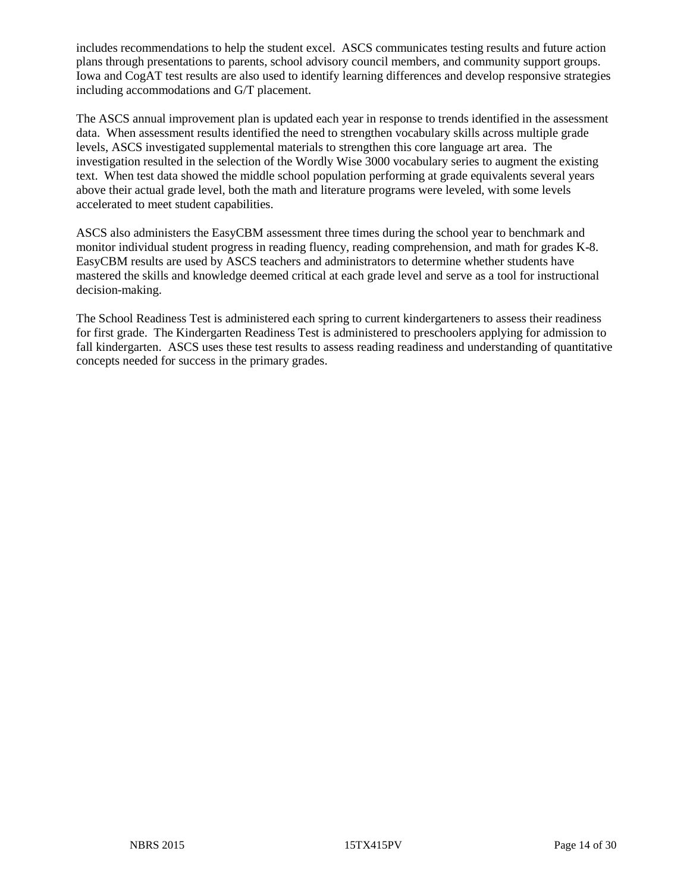includes recommendations to help the student excel. ASCS communicates testing results and future action plans through presentations to parents, school advisory council members, and community support groups. Iowa and CogAT test results are also used to identify learning differences and develop responsive strategies including accommodations and G/T placement.

The ASCS annual improvement plan is updated each year in response to trends identified in the assessment data. When assessment results identified the need to strengthen vocabulary skills across multiple grade levels, ASCS investigated supplemental materials to strengthen this core language art area. The investigation resulted in the selection of the Wordly Wise 3000 vocabulary series to augment the existing text. When test data showed the middle school population performing at grade equivalents several years above their actual grade level, both the math and literature programs were leveled, with some levels accelerated to meet student capabilities.

ASCS also administers the EasyCBM assessment three times during the school year to benchmark and monitor individual student progress in reading fluency, reading comprehension, and math for grades K-8. EasyCBM results are used by ASCS teachers and administrators to determine whether students have mastered the skills and knowledge deemed critical at each grade level and serve as a tool for instructional decision-making.

The School Readiness Test is administered each spring to current kindergarteners to assess their readiness for first grade. The Kindergarten Readiness Test is administered to preschoolers applying for admission to fall kindergarten. ASCS uses these test results to assess reading readiness and understanding of quantitative concepts needed for success in the primary grades.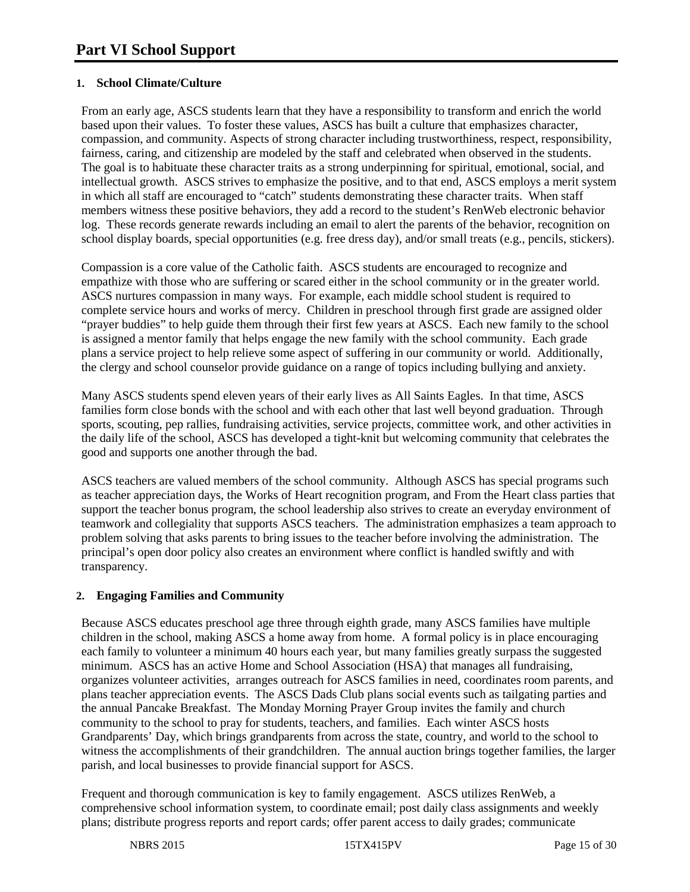# **1. School Climate/Culture**

From an early age, ASCS students learn that they have a responsibility to transform and enrich the world based upon their values. To foster these values, ASCS has built a culture that emphasizes character, compassion, and community. Aspects of strong character including trustworthiness, respect, responsibility, fairness, caring, and citizenship are modeled by the staff and celebrated when observed in the students. The goal is to habituate these character traits as a strong underpinning for spiritual, emotional, social, and intellectual growth. ASCS strives to emphasize the positive, and to that end, ASCS employs a merit system in which all staff are encouraged to "catch" students demonstrating these character traits. When staff members witness these positive behaviors, they add a record to the student's RenWeb electronic behavior log. These records generate rewards including an email to alert the parents of the behavior, recognition on school display boards, special opportunities (e.g. free dress day), and/or small treats (e.g., pencils, stickers).

Compassion is a core value of the Catholic faith. ASCS students are encouraged to recognize and empathize with those who are suffering or scared either in the school community or in the greater world. ASCS nurtures compassion in many ways. For example, each middle school student is required to complete service hours and works of mercy. Children in preschool through first grade are assigned older "prayer buddies" to help guide them through their first few years at ASCS. Each new family to the school is assigned a mentor family that helps engage the new family with the school community. Each grade plans a service project to help relieve some aspect of suffering in our community or world. Additionally, the clergy and school counselor provide guidance on a range of topics including bullying and anxiety.

Many ASCS students spend eleven years of their early lives as All Saints Eagles. In that time, ASCS families form close bonds with the school and with each other that last well beyond graduation. Through sports, scouting, pep rallies, fundraising activities, service projects, committee work, and other activities in the daily life of the school, ASCS has developed a tight-knit but welcoming community that celebrates the good and supports one another through the bad.

ASCS teachers are valued members of the school community. Although ASCS has special programs such as teacher appreciation days, the Works of Heart recognition program, and From the Heart class parties that support the teacher bonus program, the school leadership also strives to create an everyday environment of teamwork and collegiality that supports ASCS teachers. The administration emphasizes a team approach to problem solving that asks parents to bring issues to the teacher before involving the administration. The principal's open door policy also creates an environment where conflict is handled swiftly and with transparency.

# **2. Engaging Families and Community**

Because ASCS educates preschool age three through eighth grade, many ASCS families have multiple children in the school, making ASCS a home away from home. A formal policy is in place encouraging each family to volunteer a minimum 40 hours each year, but many families greatly surpass the suggested minimum. ASCS has an active Home and School Association (HSA) that manages all fundraising, organizes volunteer activities, arranges outreach for ASCS families in need, coordinates room parents, and plans teacher appreciation events. The ASCS Dads Club plans social events such as tailgating parties and the annual Pancake Breakfast. The Monday Morning Prayer Group invites the family and church community to the school to pray for students, teachers, and families. Each winter ASCS hosts Grandparents' Day, which brings grandparents from across the state, country, and world to the school to witness the accomplishments of their grandchildren. The annual auction brings together families, the larger parish, and local businesses to provide financial support for ASCS.

Frequent and thorough communication is key to family engagement. ASCS utilizes RenWeb, a comprehensive school information system, to coordinate email; post daily class assignments and weekly plans; distribute progress reports and report cards; offer parent access to daily grades; communicate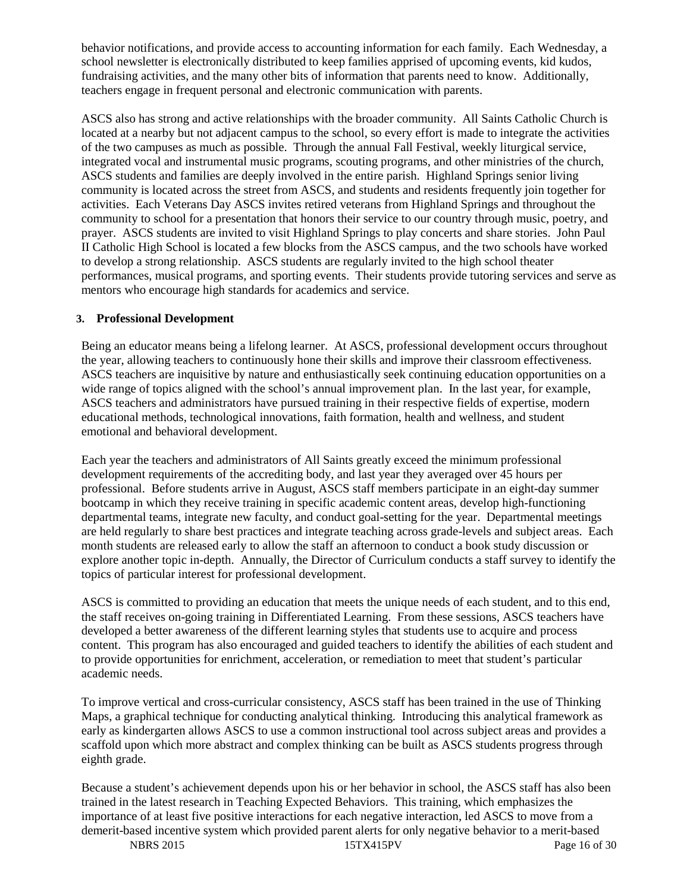behavior notifications, and provide access to accounting information for each family. Each Wednesday, a school newsletter is electronically distributed to keep families apprised of upcoming events, kid kudos, fundraising activities, and the many other bits of information that parents need to know. Additionally, teachers engage in frequent personal and electronic communication with parents.

ASCS also has strong and active relationships with the broader community. All Saints Catholic Church is located at a nearby but not adjacent campus to the school, so every effort is made to integrate the activities of the two campuses as much as possible. Through the annual Fall Festival, weekly liturgical service, integrated vocal and instrumental music programs, scouting programs, and other ministries of the church, ASCS students and families are deeply involved in the entire parish. Highland Springs senior living community is located across the street from ASCS, and students and residents frequently join together for activities. Each Veterans Day ASCS invites retired veterans from Highland Springs and throughout the community to school for a presentation that honors their service to our country through music, poetry, and prayer. ASCS students are invited to visit Highland Springs to play concerts and share stories. John Paul II Catholic High School is located a few blocks from the ASCS campus, and the two schools have worked to develop a strong relationship. ASCS students are regularly invited to the high school theater performances, musical programs, and sporting events. Their students provide tutoring services and serve as mentors who encourage high standards for academics and service.

#### **3. Professional Development**

Being an educator means being a lifelong learner. At ASCS, professional development occurs throughout the year, allowing teachers to continuously hone their skills and improve their classroom effectiveness. ASCS teachers are inquisitive by nature and enthusiastically seek continuing education opportunities on a wide range of topics aligned with the school's annual improvement plan. In the last year, for example, ASCS teachers and administrators have pursued training in their respective fields of expertise, modern educational methods, technological innovations, faith formation, health and wellness, and student emotional and behavioral development.

Each year the teachers and administrators of All Saints greatly exceed the minimum professional development requirements of the accrediting body, and last year they averaged over 45 hours per professional. Before students arrive in August, ASCS staff members participate in an eight-day summer bootcamp in which they receive training in specific academic content areas, develop high-functioning departmental teams, integrate new faculty, and conduct goal-setting for the year. Departmental meetings are held regularly to share best practices and integrate teaching across grade-levels and subject areas. Each month students are released early to allow the staff an afternoon to conduct a book study discussion or explore another topic in-depth. Annually, the Director of Curriculum conducts a staff survey to identify the topics of particular interest for professional development.

ASCS is committed to providing an education that meets the unique needs of each student, and to this end, the staff receives on-going training in Differentiated Learning. From these sessions, ASCS teachers have developed a better awareness of the different learning styles that students use to acquire and process content. This program has also encouraged and guided teachers to identify the abilities of each student and to provide opportunities for enrichment, acceleration, or remediation to meet that student's particular academic needs.

To improve vertical and cross-curricular consistency, ASCS staff has been trained in the use of Thinking Maps, a graphical technique for conducting analytical thinking. Introducing this analytical framework as early as kindergarten allows ASCS to use a common instructional tool across subject areas and provides a scaffold upon which more abstract and complex thinking can be built as ASCS students progress through eighth grade.

Because a student's achievement depends upon his or her behavior in school, the ASCS staff has also been trained in the latest research in Teaching Expected Behaviors. This training, which emphasizes the importance of at least five positive interactions for each negative interaction, led ASCS to move from a demerit-based incentive system which provided parent alerts for only negative behavior to a merit-based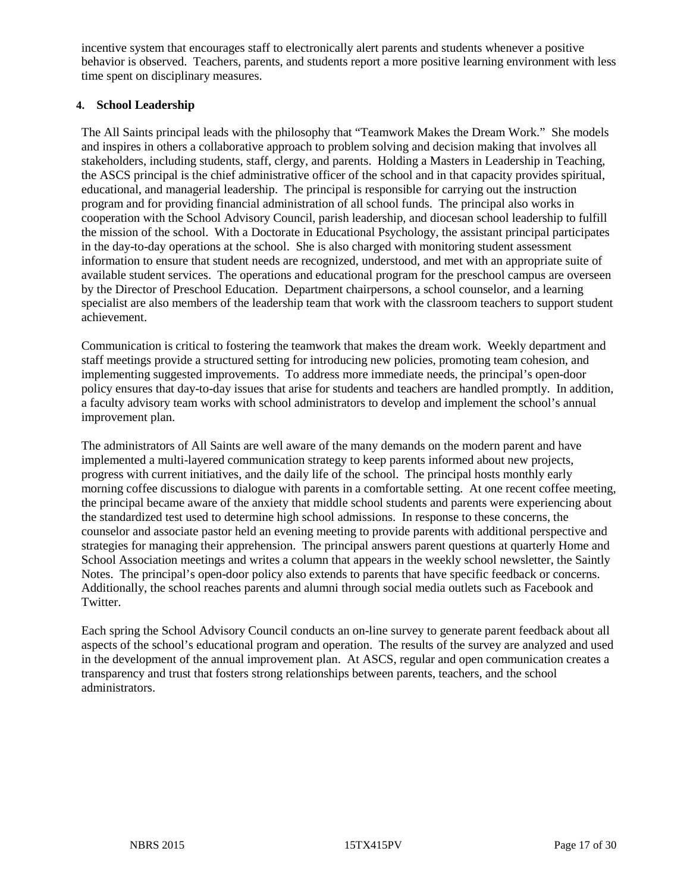incentive system that encourages staff to electronically alert parents and students whenever a positive behavior is observed. Teachers, parents, and students report a more positive learning environment with less time spent on disciplinary measures.

#### **4. School Leadership**

The All Saints principal leads with the philosophy that "Teamwork Makes the Dream Work." She models and inspires in others a collaborative approach to problem solving and decision making that involves all stakeholders, including students, staff, clergy, and parents. Holding a Masters in Leadership in Teaching, the ASCS principal is the chief administrative officer of the school and in that capacity provides spiritual, educational, and managerial leadership. The principal is responsible for carrying out the instruction program and for providing financial administration of all school funds. The principal also works in cooperation with the School Advisory Council, parish leadership, and diocesan school leadership to fulfill the mission of the school. With a Doctorate in Educational Psychology, the assistant principal participates in the day-to-day operations at the school. She is also charged with monitoring student assessment information to ensure that student needs are recognized, understood, and met with an appropriate suite of available student services. The operations and educational program for the preschool campus are overseen by the Director of Preschool Education. Department chairpersons, a school counselor, and a learning specialist are also members of the leadership team that work with the classroom teachers to support student achievement.

Communication is critical to fostering the teamwork that makes the dream work. Weekly department and staff meetings provide a structured setting for introducing new policies, promoting team cohesion, and implementing suggested improvements. To address more immediate needs, the principal's open-door policy ensures that day-to-day issues that arise for students and teachers are handled promptly. In addition, a faculty advisory team works with school administrators to develop and implement the school's annual improvement plan.

The administrators of All Saints are well aware of the many demands on the modern parent and have implemented a multi-layered communication strategy to keep parents informed about new projects, progress with current initiatives, and the daily life of the school. The principal hosts monthly early morning coffee discussions to dialogue with parents in a comfortable setting. At one recent coffee meeting, the principal became aware of the anxiety that middle school students and parents were experiencing about the standardized test used to determine high school admissions. In response to these concerns, the counselor and associate pastor held an evening meeting to provide parents with additional perspective and strategies for managing their apprehension. The principal answers parent questions at quarterly Home and School Association meetings and writes a column that appears in the weekly school newsletter, the Saintly Notes. The principal's open-door policy also extends to parents that have specific feedback or concerns. Additionally, the school reaches parents and alumni through social media outlets such as Facebook and Twitter.

Each spring the School Advisory Council conducts an on-line survey to generate parent feedback about all aspects of the school's educational program and operation. The results of the survey are analyzed and used in the development of the annual improvement plan. At ASCS, regular and open communication creates a transparency and trust that fosters strong relationships between parents, teachers, and the school administrators.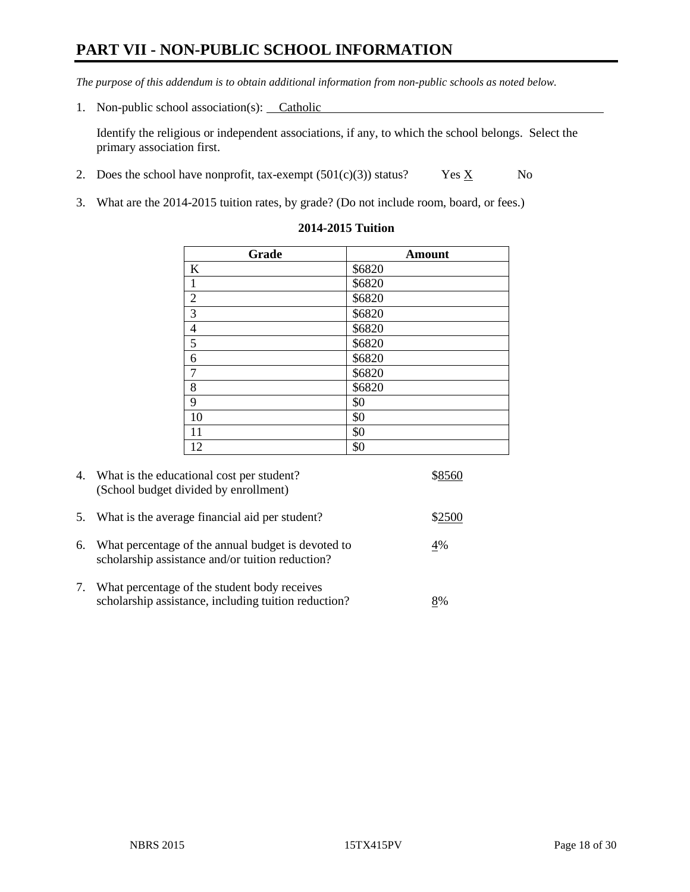# **PART VII - NON-PUBLIC SCHOOL INFORMATION**

*The purpose of this addendum is to obtain additional information from non-public schools as noted below.*

1. Non-public school association(s): Catholic

Identify the religious or independent associations, if any, to which the school belongs. Select the primary association first.

- 2. Does the school have nonprofit, tax-exempt  $(501(c)(3))$  status? Yes  $\underline{X}$  No
- 3. What are the 2014-2015 tuition rates, by grade? (Do not include room, board, or fees.)

| Grade          | <b>Amount</b> |
|----------------|---------------|
| $\bf K$        | \$6820        |
| $\mathbf{1}$   | \$6820        |
| $\overline{2}$ | \$6820        |
| 3              | \$6820        |
| $\overline{4}$ | \$6820        |
| 5              | \$6820        |
| 6              | \$6820        |
| $\overline{7}$ | \$6820        |
| 8              | \$6820        |
| 9              | \$0           |
| 10             | \$0           |
| 11             | \$0           |
| 12             | \$0           |

#### **2014-2015 Tuition**

|    | 4. What is the educational cost per student?<br>(School budget divided by enrollment)                  |        |
|----|--------------------------------------------------------------------------------------------------------|--------|
| 5. | What is the average financial aid per student?                                                         | \$2500 |
| 6. | What percentage of the annual budget is devoted to<br>scholarship assistance and/or tuition reduction? | 4%     |
| 7. | What percentage of the student body receives<br>scholarship assistance, including tuition reduction?   | 8%     |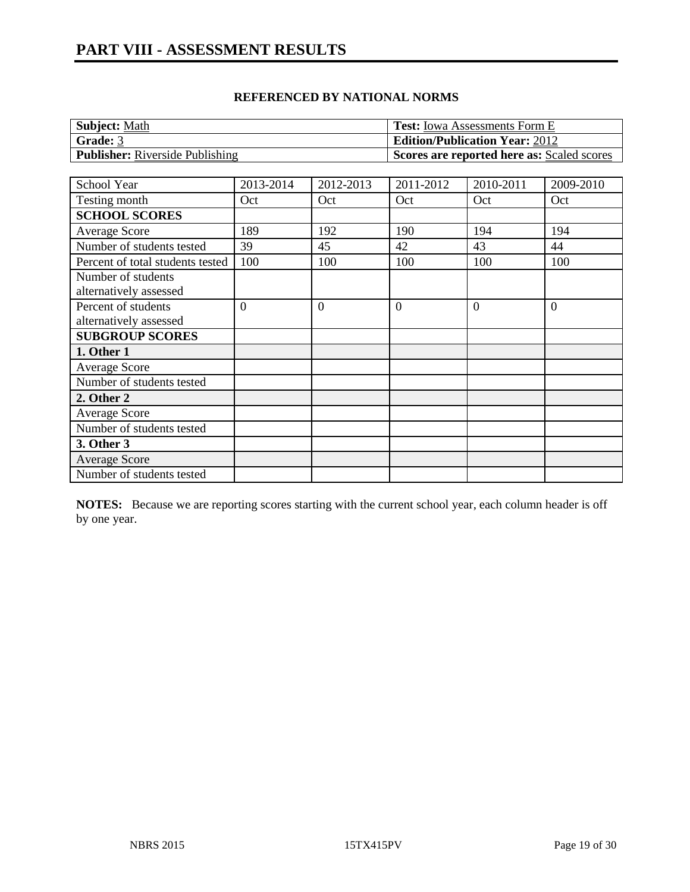| <b>Subject: Math</b>                   | <b>Test:</b> Iowa Assessments Form E       |
|----------------------------------------|--------------------------------------------|
| <b>Grade: 3</b>                        | <b>Edition/Publication Year: 2012</b>      |
| <b>Publisher:</b> Riverside Publishing | Scores are reported here as: Scaled scores |

| School Year                      | 2013-2014      | 2012-2013      | 2011-2012      | 2010-2011 | 2009-2010      |
|----------------------------------|----------------|----------------|----------------|-----------|----------------|
| Testing month                    | Oct            | Oct            | Oct            | Oct       | Oct            |
| <b>SCHOOL SCORES</b>             |                |                |                |           |                |
| <b>Average Score</b>             | 189            | 192            | 190            | 194       | 194            |
| Number of students tested        | 39             | 45             | 42             | 43        | 44             |
| Percent of total students tested | 100            | 100            | 100            | 100       | 100            |
| Number of students               |                |                |                |           |                |
| alternatively assessed           |                |                |                |           |                |
| Percent of students              | $\overline{0}$ | $\overline{0}$ | $\overline{0}$ | $\theta$  | $\overline{0}$ |
| alternatively assessed           |                |                |                |           |                |
| <b>SUBGROUP SCORES</b>           |                |                |                |           |                |
| 1. Other 1                       |                |                |                |           |                |
| <b>Average Score</b>             |                |                |                |           |                |
| Number of students tested        |                |                |                |           |                |
| 2. Other 2                       |                |                |                |           |                |
| <b>Average Score</b>             |                |                |                |           |                |
| Number of students tested        |                |                |                |           |                |
| 3. Other 3                       |                |                |                |           |                |
| <b>Average Score</b>             |                |                |                |           |                |
| Number of students tested        |                |                |                |           |                |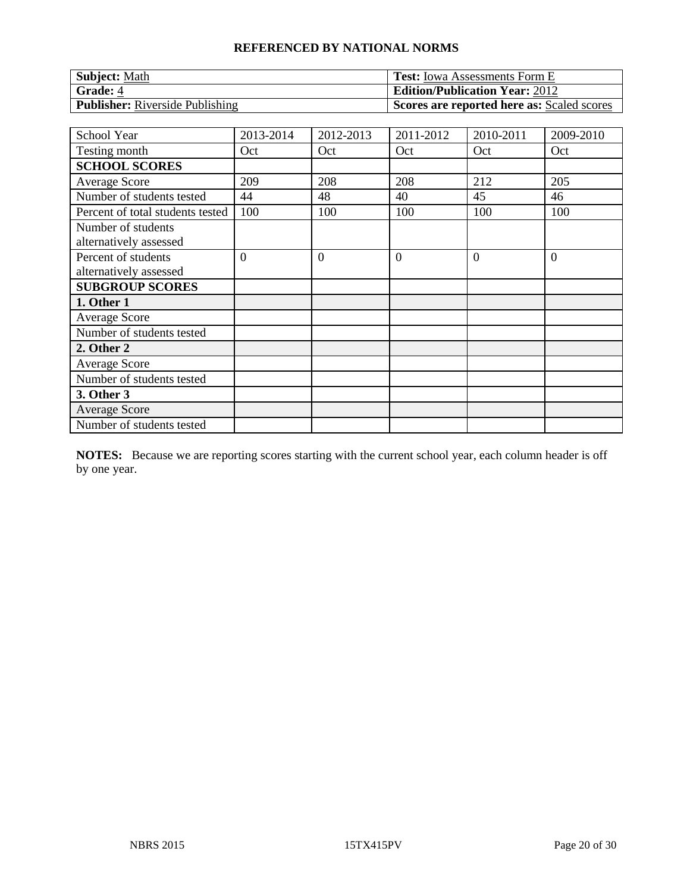| <b>Subject: Math</b>                   | <b>Test:</b> Iowa Assessments Form E       |
|----------------------------------------|--------------------------------------------|
| <b>Grade: 4</b>                        | <b>Edition/Publication Year: 2012</b>      |
| <b>Publisher:</b> Riverside Publishing | Scores are reported here as: Scaled scores |

| School Year                                   | 2013-2014      | 2012-2013      | 2011-2012      | 2010-2011 | 2009-2010      |
|-----------------------------------------------|----------------|----------------|----------------|-----------|----------------|
| Testing month                                 | Oct            | Oct            | Oct            | Oct       | Oct            |
| <b>SCHOOL SCORES</b>                          |                |                |                |           |                |
| <b>Average Score</b>                          | 209            | 208            | 208            | 212       | 205            |
| Number of students tested                     | 44             | 48             | 40             | 45        | 46             |
| Percent of total students tested              | 100            | 100            | 100            | 100       | 100            |
| Number of students<br>alternatively assessed  |                |                |                |           |                |
| Percent of students<br>alternatively assessed | $\overline{0}$ | $\overline{0}$ | $\overline{0}$ | $\theta$  | $\overline{0}$ |
| <b>SUBGROUP SCORES</b>                        |                |                |                |           |                |
| 1. Other 1                                    |                |                |                |           |                |
| <b>Average Score</b>                          |                |                |                |           |                |
| Number of students tested                     |                |                |                |           |                |
| 2. Other 2                                    |                |                |                |           |                |
| <b>Average Score</b>                          |                |                |                |           |                |
| Number of students tested                     |                |                |                |           |                |
| 3. Other 3                                    |                |                |                |           |                |
| <b>Average Score</b>                          |                |                |                |           |                |
| Number of students tested                     |                |                |                |           |                |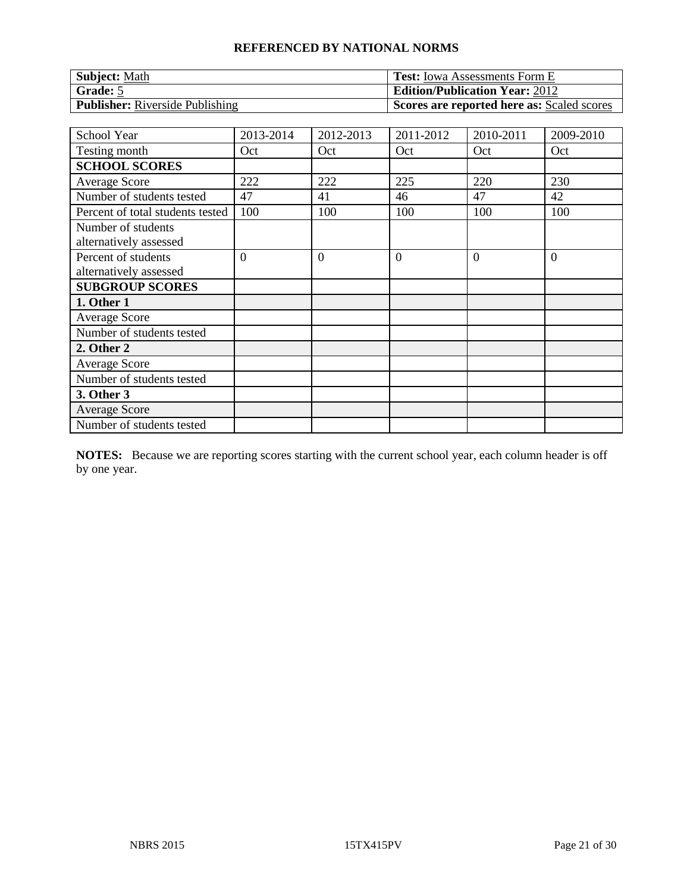| <b>Subject: Math</b>                   | <b>Test:</b> Iowa Assessments Form E       |
|----------------------------------------|--------------------------------------------|
| Grade: 5                               | <b>Edition/Publication Year: 2012</b>      |
| <b>Publisher:</b> Riverside Publishing | Scores are reported here as: Scaled scores |

| School Year                                   | 2013-2014      | 2012-2013      | 2011-2012 | 2010-2011 | 2009-2010      |
|-----------------------------------------------|----------------|----------------|-----------|-----------|----------------|
| Testing month                                 | Oct            | Oct            | Oct       | Oct       | Oct            |
| <b>SCHOOL SCORES</b>                          |                |                |           |           |                |
| <b>Average Score</b>                          | 222            | 222            | 225       | 220       | 230            |
| Number of students tested                     | 47             | 41             | 46        | 47        | 42             |
| Percent of total students tested              | 100            | 100            | 100       | 100       | 100            |
| Number of students<br>alternatively assessed  |                |                |           |           |                |
| Percent of students<br>alternatively assessed | $\overline{0}$ | $\overline{0}$ | $\theta$  | $\Omega$  | $\overline{0}$ |
| <b>SUBGROUP SCORES</b>                        |                |                |           |           |                |
| 1. Other 1                                    |                |                |           |           |                |
| <b>Average Score</b>                          |                |                |           |           |                |
| Number of students tested                     |                |                |           |           |                |
| 2. Other 2                                    |                |                |           |           |                |
| <b>Average Score</b>                          |                |                |           |           |                |
| Number of students tested                     |                |                |           |           |                |
| 3. Other 3                                    |                |                |           |           |                |
| <b>Average Score</b>                          |                |                |           |           |                |
| Number of students tested                     |                |                |           |           |                |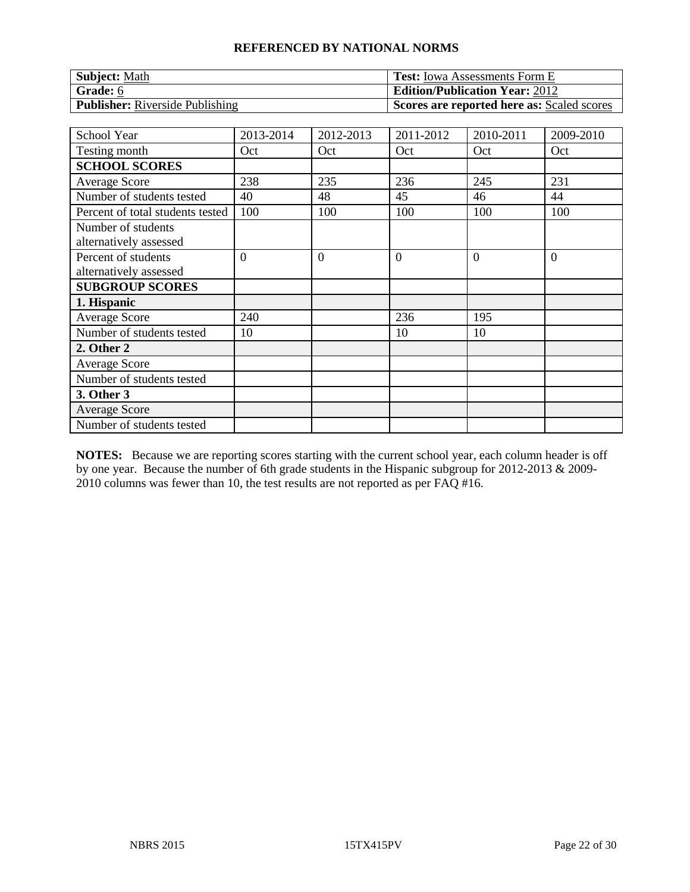| <b>Subject: Math</b>                   | <b>Test:</b> Iowa Assessments Form E       |
|----------------------------------------|--------------------------------------------|
| <b>Grade:</b> 6                        | <b>Edition/Publication Year: 2012</b>      |
| <b>Publisher:</b> Riverside Publishing | Scores are reported here as: Scaled scores |

| School Year                                   | 2013-2014      | 2012-2013      | 2011-2012      | 2010-2011 | 2009-2010      |
|-----------------------------------------------|----------------|----------------|----------------|-----------|----------------|
| Testing month                                 | Oct            | Oct            | Oct            | Oct       | Oct            |
| <b>SCHOOL SCORES</b>                          |                |                |                |           |                |
| <b>Average Score</b>                          | 238            | 235            | 236            | 245       | 231            |
| Number of students tested                     | 40             | 48             | 45             | 46        | 44             |
| Percent of total students tested              | 100            | 100            | 100            | 100       | 100            |
| Number of students<br>alternatively assessed  |                |                |                |           |                |
| Percent of students<br>alternatively assessed | $\overline{0}$ | $\overline{0}$ | $\overline{0}$ | $\Omega$  | $\overline{0}$ |
| <b>SUBGROUP SCORES</b>                        |                |                |                |           |                |
| 1. Hispanic                                   |                |                |                |           |                |
| <b>Average Score</b>                          | 240            |                | 236            | 195       |                |
| Number of students tested                     | 10             |                | 10             | 10        |                |
| 2. Other 2                                    |                |                |                |           |                |
| <b>Average Score</b>                          |                |                |                |           |                |
| Number of students tested                     |                |                |                |           |                |
| 3. Other 3                                    |                |                |                |           |                |
| <b>Average Score</b>                          |                |                |                |           |                |
| Number of students tested                     |                |                |                |           |                |

**NOTES:** Because we are reporting scores starting with the current school year, each column header is off by one year. Because the number of 6th grade students in the Hispanic subgroup for 2012-2013 & 2009-  $2010$  columns was fewer than 10, the test results are not reported as per FAQ #16.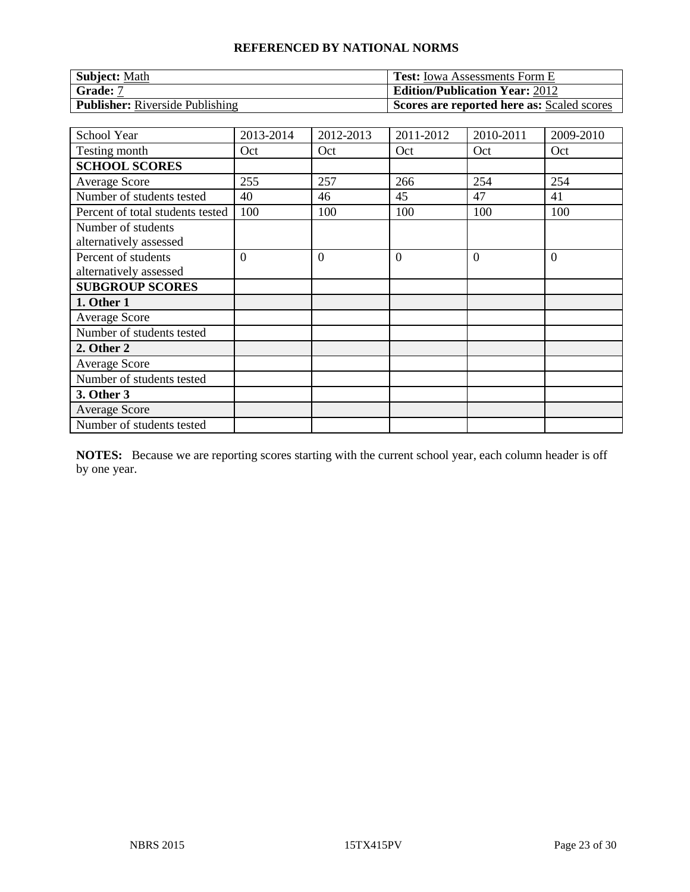| <b>Subject: Math</b>                   | <b>Test:</b> Iowa Assessments Form E       |
|----------------------------------------|--------------------------------------------|
| Grade: 7                               | <b>Edition/Publication Year: 2012</b>      |
| <b>Publisher:</b> Riverside Publishing | Scores are reported here as: Scaled scores |

| School Year                      | 2013-2014      | 2012-2013      | 2011-2012      | 2010-2011 | 2009-2010      |
|----------------------------------|----------------|----------------|----------------|-----------|----------------|
| Testing month                    | Oct            | Oct            | Oct            | Oct       | Oct            |
| <b>SCHOOL SCORES</b>             |                |                |                |           |                |
| <b>Average Score</b>             | 255            | 257            | 266            | 254       | 254            |
| Number of students tested        | 40             | 46             | 45             | 47        | 41             |
| Percent of total students tested | 100            | 100            | 100            | 100       | 100            |
| Number of students               |                |                |                |           |                |
| alternatively assessed           |                |                |                |           |                |
| Percent of students              | $\overline{0}$ | $\overline{0}$ | $\overline{0}$ | $\Omega$  | $\overline{0}$ |
| alternatively assessed           |                |                |                |           |                |
| <b>SUBGROUP SCORES</b>           |                |                |                |           |                |
| 1. Other 1                       |                |                |                |           |                |
| <b>Average Score</b>             |                |                |                |           |                |
| Number of students tested        |                |                |                |           |                |
| 2. Other 2                       |                |                |                |           |                |
| <b>Average Score</b>             |                |                |                |           |                |
| Number of students tested        |                |                |                |           |                |
| 3. Other 3                       |                |                |                |           |                |
| <b>Average Score</b>             |                |                |                |           |                |
| Number of students tested        |                |                |                |           |                |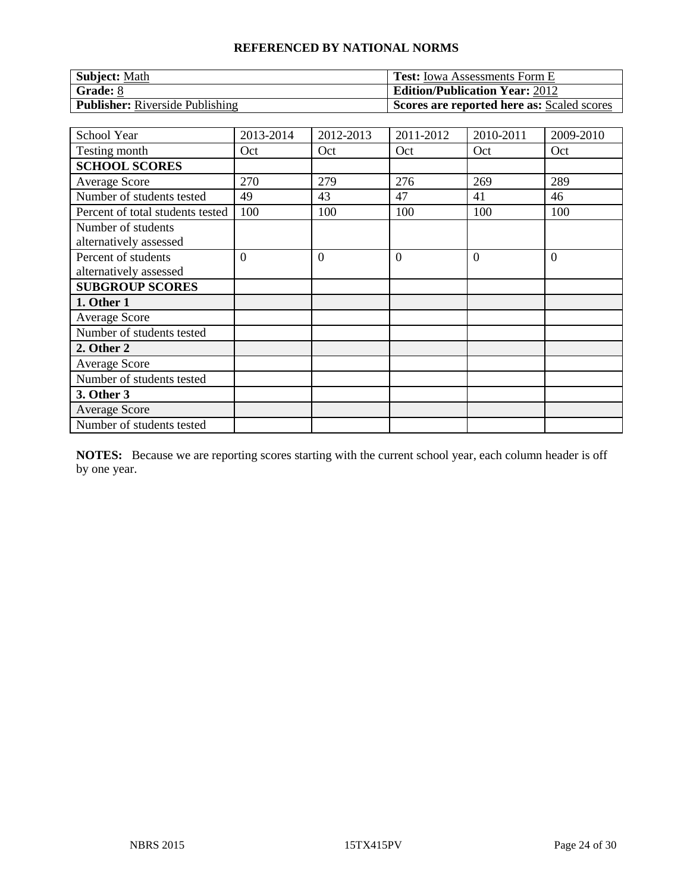| <b>Subject: Math</b>                   | <b>Test:</b> Iowa Assessments Form E       |
|----------------------------------------|--------------------------------------------|
| Grade: 8                               | <b>Edition/Publication Year: 2012</b>      |
| <b>Publisher:</b> Riverside Publishing | Scores are reported here as: Scaled scores |

| School Year                                   | 2013-2014      | 2012-2013      | 2011-2012      | 2010-2011 | 2009-2010      |
|-----------------------------------------------|----------------|----------------|----------------|-----------|----------------|
| Testing month                                 | Oct            | Oct            | Oct            | Oct       | Oct            |
| <b>SCHOOL SCORES</b>                          |                |                |                |           |                |
| <b>Average Score</b>                          | 270            | 279            | 276            | 269       | 289            |
| Number of students tested                     | 49             | 43             | 47             | 41        | 46             |
| Percent of total students tested              | 100            | 100            | 100            | 100       | 100            |
| Number of students                            |                |                |                |           |                |
| alternatively assessed                        |                |                |                |           |                |
| Percent of students<br>alternatively assessed | $\overline{0}$ | $\overline{0}$ | $\overline{0}$ | $\Omega$  | $\overline{0}$ |
| <b>SUBGROUP SCORES</b>                        |                |                |                |           |                |
| 1. Other 1                                    |                |                |                |           |                |
| <b>Average Score</b>                          |                |                |                |           |                |
| Number of students tested                     |                |                |                |           |                |
| 2. Other 2                                    |                |                |                |           |                |
| <b>Average Score</b>                          |                |                |                |           |                |
| Number of students tested                     |                |                |                |           |                |
| 3. Other 3                                    |                |                |                |           |                |
| <b>Average Score</b>                          |                |                |                |           |                |
| Number of students tested                     |                |                |                |           |                |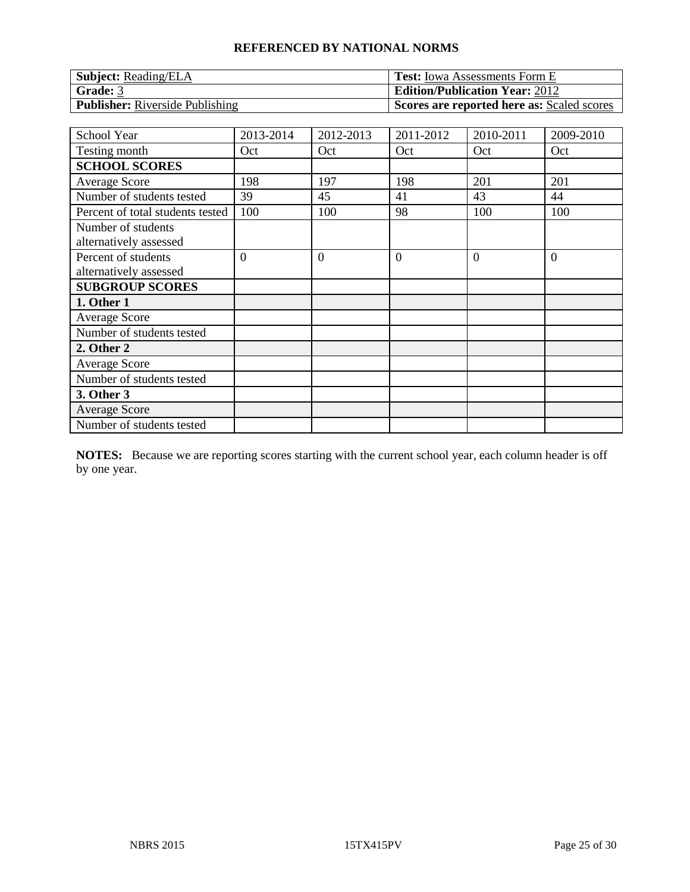| <b>Subject: Reading/ELA</b>            | <b>Test:</b> Iowa Assessments Form E       |
|----------------------------------------|--------------------------------------------|
| Grade: 3                               | <b>Edition/Publication Year: 2012</b>      |
| <b>Publisher:</b> Riverside Publishing | Scores are reported here as: Scaled scores |

| School Year                                   | 2013-2014      | 2012-2013      | 2011-2012      | 2010-2011 | 2009-2010      |
|-----------------------------------------------|----------------|----------------|----------------|-----------|----------------|
| Testing month                                 | Oct            | Oct            | Oct            | Oct       | Oct            |
| <b>SCHOOL SCORES</b>                          |                |                |                |           |                |
| <b>Average Score</b>                          | 198            | 197            | 198            | 201       | 201            |
| Number of students tested                     | 39             | 45             | 41             | 43        | 44             |
| Percent of total students tested              | 100            | 100            | 98             | 100       | 100            |
| Number of students<br>alternatively assessed  |                |                |                |           |                |
| Percent of students<br>alternatively assessed | $\overline{0}$ | $\overline{0}$ | $\overline{0}$ | $\Omega$  | $\overline{0}$ |
| <b>SUBGROUP SCORES</b>                        |                |                |                |           |                |
| 1. Other 1                                    |                |                |                |           |                |
| <b>Average Score</b>                          |                |                |                |           |                |
| Number of students tested                     |                |                |                |           |                |
| 2. Other 2                                    |                |                |                |           |                |
| <b>Average Score</b>                          |                |                |                |           |                |
| Number of students tested                     |                |                |                |           |                |
| 3. Other 3                                    |                |                |                |           |                |
| <b>Average Score</b>                          |                |                |                |           |                |
| Number of students tested                     |                |                |                |           |                |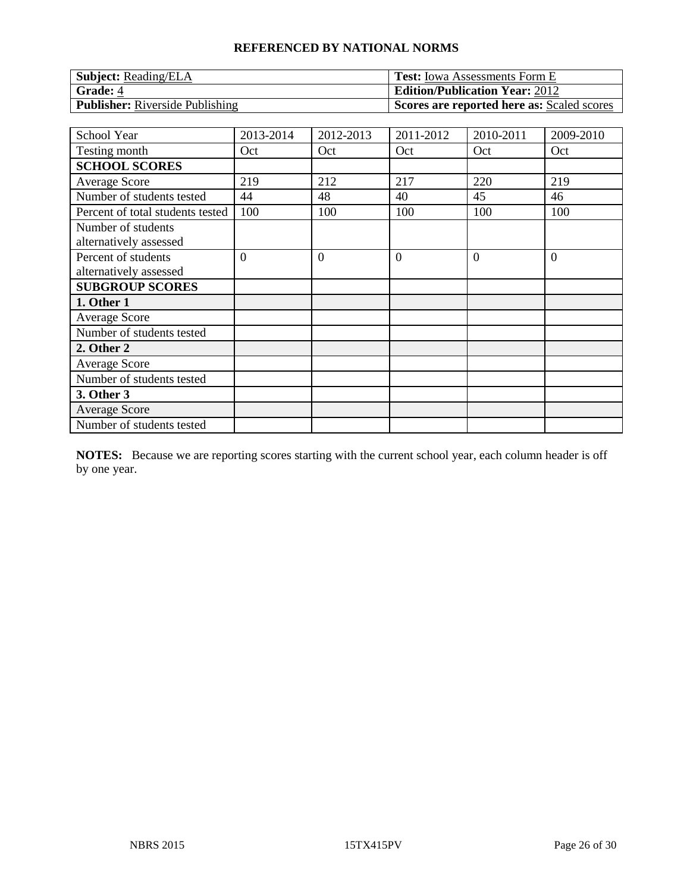| <b>Subject:</b> Reading/ELA            | <b>Test:</b> Iowa Assessments Form E       |
|----------------------------------------|--------------------------------------------|
| Grade: 4                               | <b>Edition/Publication Year: 2012</b>      |
| <b>Publisher:</b> Riverside Publishing | Scores are reported here as: Scaled scores |

| School Year                                   | 2013-2014      | 2012-2013      | 2011-2012      | 2010-2011 | 2009-2010      |
|-----------------------------------------------|----------------|----------------|----------------|-----------|----------------|
| Testing month                                 | Oct            | Oct            | Oct            | Oct       | Oct            |
| <b>SCHOOL SCORES</b>                          |                |                |                |           |                |
| <b>Average Score</b>                          | 219            | 212            | 217            | 220       | 219            |
| Number of students tested                     | 44             | 48             | 40             | 45        | 46             |
| Percent of total students tested              | 100            | 100            | 100            | 100       | 100            |
| Number of students<br>alternatively assessed  |                |                |                |           |                |
| Percent of students<br>alternatively assessed | $\overline{0}$ | $\overline{0}$ | $\overline{0}$ | $\Omega$  | $\overline{0}$ |
| <b>SUBGROUP SCORES</b>                        |                |                |                |           |                |
| 1. Other 1                                    |                |                |                |           |                |
| <b>Average Score</b>                          |                |                |                |           |                |
| Number of students tested                     |                |                |                |           |                |
| 2. Other 2                                    |                |                |                |           |                |
| <b>Average Score</b>                          |                |                |                |           |                |
| Number of students tested                     |                |                |                |           |                |
| 3. Other 3                                    |                |                |                |           |                |
| <b>Average Score</b>                          |                |                |                |           |                |
| Number of students tested                     |                |                |                |           |                |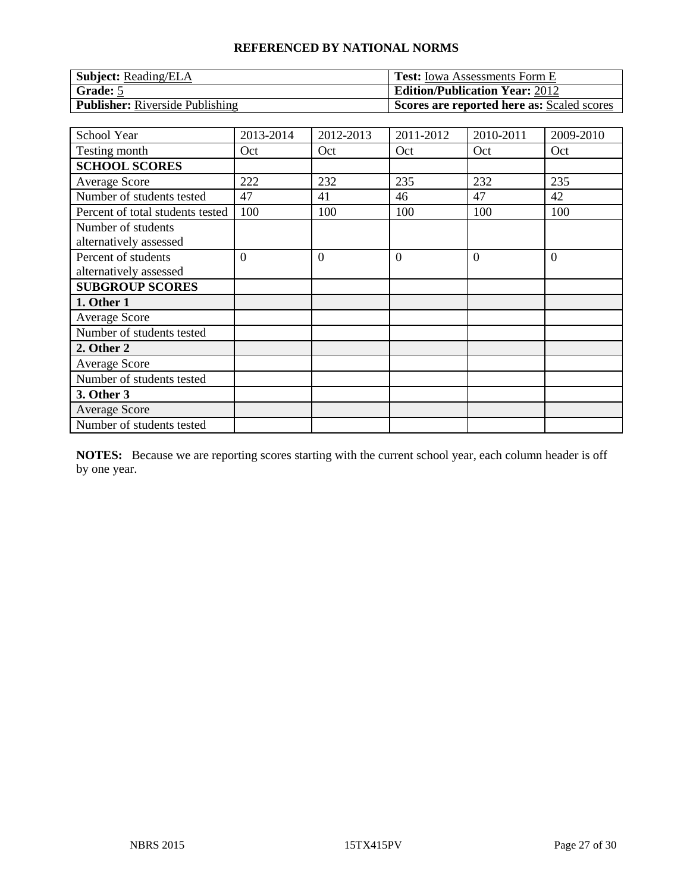| <b>Subject:</b> Reading/ELA            | <b>Test:</b> Iowa Assessments Form E       |
|----------------------------------------|--------------------------------------------|
| Grade: 5                               | <b>Edition/Publication Year: 2012</b>      |
| <b>Publisher:</b> Riverside Publishing | Scores are reported here as: Scaled scores |

| School Year                                   | 2013-2014      | 2012-2013      | 2011-2012      | 2010-2011 | 2009-2010      |
|-----------------------------------------------|----------------|----------------|----------------|-----------|----------------|
| Testing month                                 | Oct            | Oct            | Oct            | Oct       | Oct            |
| <b>SCHOOL SCORES</b>                          |                |                |                |           |                |
| <b>Average Score</b>                          | 222            | 232            | 235            | 232       | 235            |
| Number of students tested                     | 47             | 41             | 46             | 47        | 42             |
| Percent of total students tested              | 100            | 100            | 100            | 100       | 100            |
| Number of students<br>alternatively assessed  |                |                |                |           |                |
| Percent of students<br>alternatively assessed | $\overline{0}$ | $\overline{0}$ | $\overline{0}$ | $\Omega$  | $\overline{0}$ |
| <b>SUBGROUP SCORES</b>                        |                |                |                |           |                |
| 1. Other 1                                    |                |                |                |           |                |
| <b>Average Score</b>                          |                |                |                |           |                |
| Number of students tested                     |                |                |                |           |                |
| 2. Other 2                                    |                |                |                |           |                |
| <b>Average Score</b>                          |                |                |                |           |                |
| Number of students tested                     |                |                |                |           |                |
| 3. Other 3                                    |                |                |                |           |                |
| <b>Average Score</b>                          |                |                |                |           |                |
| Number of students tested                     |                |                |                |           |                |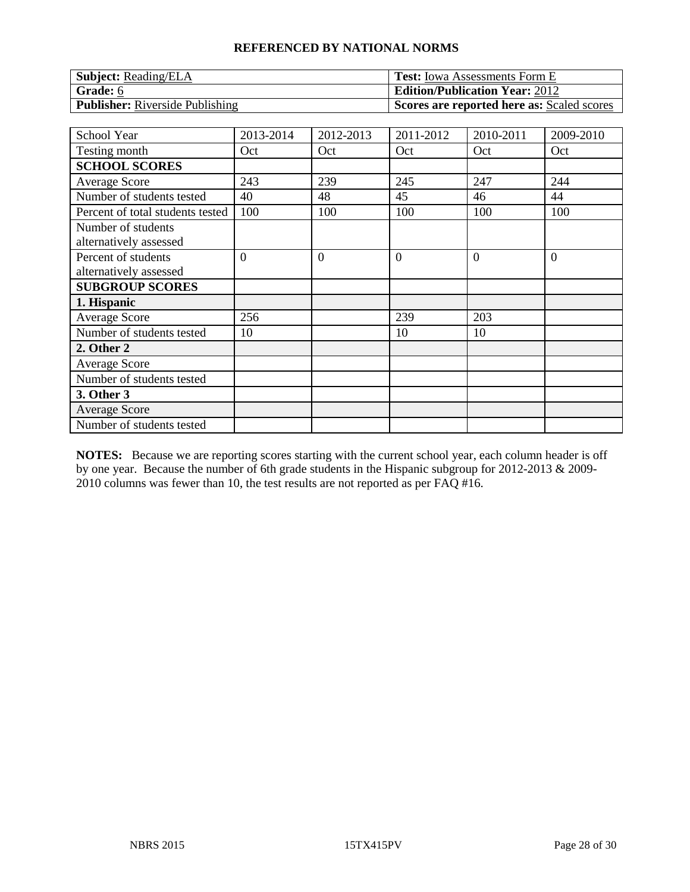| <b>Subject:</b> Reading/ELA            | <b>Test:</b> Iowa Assessments Form E       |
|----------------------------------------|--------------------------------------------|
| Grade: 6                               | <b>Edition/Publication Year: 2012</b>      |
| <b>Publisher:</b> Riverside Publishing | Scores are reported here as: Scaled scores |

| School Year                                   | 2013-2014      | 2012-2013      | 2011-2012      | 2010-2011 | 2009-2010      |
|-----------------------------------------------|----------------|----------------|----------------|-----------|----------------|
| Testing month                                 | Oct            | Oct            | Oct            | Oct       | Oct            |
| <b>SCHOOL SCORES</b>                          |                |                |                |           |                |
| <b>Average Score</b>                          | 243            | 239            | 245            | 247       | 244            |
| Number of students tested                     | 40             | 48             | 45             | 46        | 44             |
| Percent of total students tested              | 100            | 100            | 100            | 100       | 100            |
| Number of students<br>alternatively assessed  |                |                |                |           |                |
| Percent of students<br>alternatively assessed | $\overline{0}$ | $\overline{0}$ | $\overline{0}$ | $\Omega$  | $\overline{0}$ |
| <b>SUBGROUP SCORES</b>                        |                |                |                |           |                |
| 1. Hispanic                                   |                |                |                |           |                |
| <b>Average Score</b>                          | 256            |                | 239            | 203       |                |
| Number of students tested                     | 10             |                | 10             | 10        |                |
| 2. Other 2                                    |                |                |                |           |                |
| <b>Average Score</b>                          |                |                |                |           |                |
| Number of students tested                     |                |                |                |           |                |
| 3. Other 3                                    |                |                |                |           |                |
| <b>Average Score</b>                          |                |                |                |           |                |
| Number of students tested                     |                |                |                |           |                |

**NOTES:** Because we are reporting scores starting with the current school year, each column header is off by one year. Because the number of 6th grade students in the Hispanic subgroup for 2012-2013 & 2009-  $2010$  columns was fewer than 10, the test results are not reported as per FAQ #16.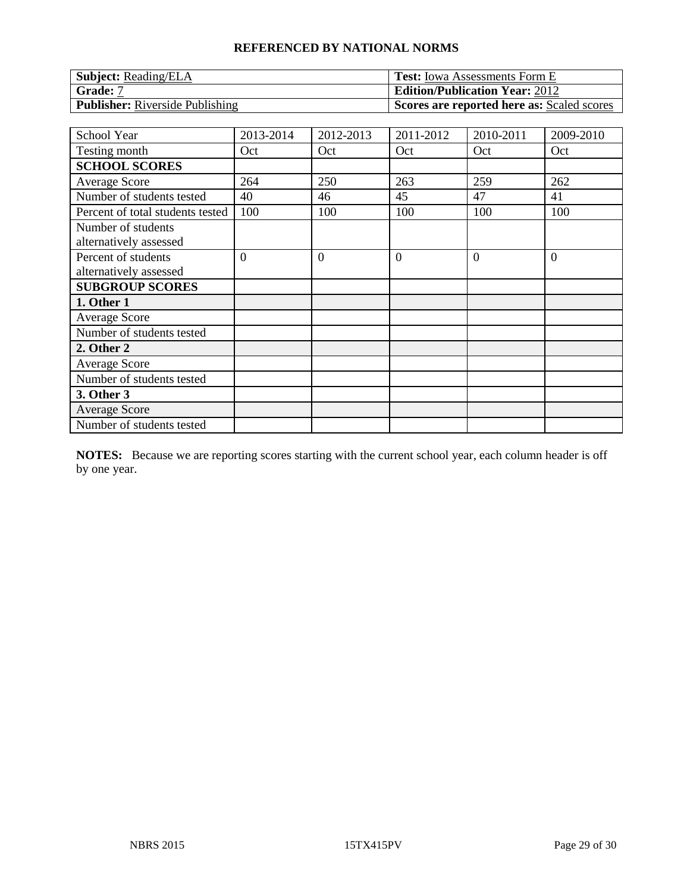| <b>Subject: Reading/ELA</b>            | <b>Test:</b> Iowa Assessments Form E       |
|----------------------------------------|--------------------------------------------|
| Grade: 7                               | <b>Edition/Publication Year: 2012</b>      |
| <b>Publisher:</b> Riverside Publishing | Scores are reported here as: Scaled scores |

| School Year                                   | 2013-2014      | 2012-2013      | 2011-2012      | 2010-2011 | 2009-2010      |
|-----------------------------------------------|----------------|----------------|----------------|-----------|----------------|
| Testing month                                 | Oct            | Oct            | Oct            | Oct       | Oct            |
| <b>SCHOOL SCORES</b>                          |                |                |                |           |                |
| <b>Average Score</b>                          | 264            | 250            | 263            | 259       | 262            |
| Number of students tested                     | 40             | 46             | 45             | 47        | 41             |
| Percent of total students tested              | 100            | 100            | 100            | 100       | 100            |
| Number of students<br>alternatively assessed  |                |                |                |           |                |
| Percent of students<br>alternatively assessed | $\overline{0}$ | $\overline{0}$ | $\overline{0}$ | $\Omega$  | $\overline{0}$ |
| <b>SUBGROUP SCORES</b>                        |                |                |                |           |                |
| 1. Other 1                                    |                |                |                |           |                |
| <b>Average Score</b>                          |                |                |                |           |                |
| Number of students tested                     |                |                |                |           |                |
| 2. Other 2                                    |                |                |                |           |                |
| <b>Average Score</b>                          |                |                |                |           |                |
| Number of students tested                     |                |                |                |           |                |
| 3. Other 3                                    |                |                |                |           |                |
| <b>Average Score</b>                          |                |                |                |           |                |
| Number of students tested                     |                |                |                |           |                |